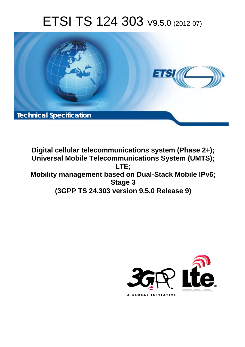# ETSI TS 124 303 V9.5.0 (2012-07)



**Digital cellular telecommunications system (Phase 2+); Universal Mobile Telecommunications System (UMTS); LTE; Mobility management based on Dual-Stack Mobile IPv6; Stage 3 (3GPP TS 24.303 version 9.5.0 Release 9)** 

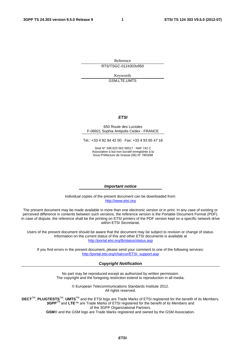Reference RTS/TSGC-0124303v950

> Keywords GSM,LTE,UMTS

#### *ETSI*

#### 650 Route des Lucioles F-06921 Sophia Antipolis Cedex - FRANCE

Tel.: +33 4 92 94 42 00 Fax: +33 4 93 65 47 16

Siret N° 348 623 562 00017 - NAF 742 C Association à but non lucratif enregistrée à la Sous-Préfecture de Grasse (06) N° 7803/88

#### *Important notice*

Individual copies of the present document can be downloaded from: [http://www.etsi.org](http://www.etsi.org/)

The present document may be made available in more than one electronic version or in print. In any case of existing or perceived difference in contents between such versions, the reference version is the Portable Document Format (PDF). In case of dispute, the reference shall be the printing on ETSI printers of the PDF version kept on a specific network drive within ETSI Secretariat.

Users of the present document should be aware that the document may be subject to revision or change of status. Information on the current status of this and other ETSI documents is available at <http://portal.etsi.org/tb/status/status.asp>

If you find errors in the present document, please send your comment to one of the following services: [http://portal.etsi.org/chaircor/ETSI\\_support.asp](http://portal.etsi.org/chaircor/ETSI_support.asp)

#### *Copyright Notification*

No part may be reproduced except as authorized by written permission. The copyright and the foregoing restriction extend to reproduction in all media.

> © European Telecommunications Standards Institute 2012. All rights reserved.

**DECT**TM, **PLUGTESTS**TM, **UMTS**TM and the ETSI logo are Trade Marks of ETSI registered for the benefit of its Members. **3GPP**TM and **LTE**™ are Trade Marks of ETSI registered for the benefit of its Members and of the 3GPP Organizational Partners.

**GSM**® and the GSM logo are Trade Marks registered and owned by the GSM Association.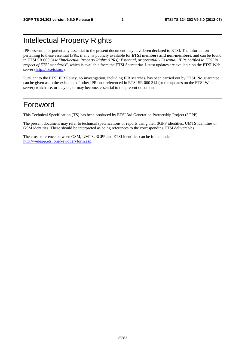### Intellectual Property Rights

IPRs essential or potentially essential to the present document may have been declared to ETSI. The information pertaining to these essential IPRs, if any, is publicly available for **ETSI members and non-members**, and can be found in ETSI SR 000 314: *"Intellectual Property Rights (IPRs); Essential, or potentially Essential, IPRs notified to ETSI in respect of ETSI standards"*, which is available from the ETSI Secretariat. Latest updates are available on the ETSI Web server [\(http://ipr.etsi.org](http://webapp.etsi.org/IPR/home.asp)).

Pursuant to the ETSI IPR Policy, no investigation, including IPR searches, has been carried out by ETSI. No guarantee can be given as to the existence of other IPRs not referenced in ETSI SR 000 314 (or the updates on the ETSI Web server) which are, or may be, or may become, essential to the present document.

### Foreword

This Technical Specification (TS) has been produced by ETSI 3rd Generation Partnership Project (3GPP).

The present document may refer to technical specifications or reports using their 3GPP identities, UMTS identities or GSM identities. These should be interpreted as being references to the corresponding ETSI deliverables.

The cross reference between GSM, UMTS, 3GPP and ETSI identities can be found under [http://webapp.etsi.org/key/queryform.asp.](http://webapp.etsi.org/key/queryform.asp)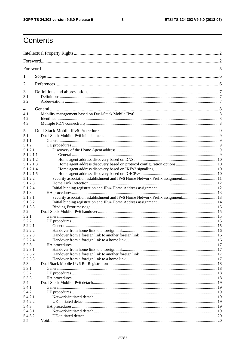$\mathbf{3}$ 

### Contents

| 1                  |                                                                              |  |
|--------------------|------------------------------------------------------------------------------|--|
| 2                  |                                                                              |  |
| 3                  |                                                                              |  |
| 3.1<br>3.2         |                                                                              |  |
| 4                  |                                                                              |  |
| 4.1                |                                                                              |  |
| 4.2<br>4.3         |                                                                              |  |
| 5                  |                                                                              |  |
| 5.1                |                                                                              |  |
| 5.1.1              |                                                                              |  |
| 5.1.2<br>5.1.2.1   |                                                                              |  |
| 5.1.2.1.1          |                                                                              |  |
| 5.1.2.1.2          |                                                                              |  |
| 5.1.2.1.3          |                                                                              |  |
| 5.1.2.1.4          |                                                                              |  |
| 5.1.2.1.5          |                                                                              |  |
| 5.1.2.2            | Security association establishment and IPv6 Home Network Prefix assignment11 |  |
| 5.1.2.3            |                                                                              |  |
| 5.1.2.4            |                                                                              |  |
| 5.1.3              |                                                                              |  |
| 5.1.3.1<br>5.1.3.2 | Security association establishment and IPv6 Home Network Prefix assignment13 |  |
| 5.1.3.3            |                                                                              |  |
| 5.2                |                                                                              |  |
| 5.2.1              |                                                                              |  |
| 5.2.2              |                                                                              |  |
| 5.2.2.1            |                                                                              |  |
| 5.2.2.2            |                                                                              |  |
| 5.2.2.3            |                                                                              |  |
| 5.2.2.4            |                                                                              |  |
| 5.2.3              |                                                                              |  |
| 5.2.3.1            |                                                                              |  |
| 5.2.3.2            |                                                                              |  |
| 5.2.3.3            |                                                                              |  |
| 5.3<br>5.3.1       |                                                                              |  |
| 5.3.2              |                                                                              |  |
| 5.3.3              |                                                                              |  |
| 5.4                |                                                                              |  |
| 5.4.1              |                                                                              |  |
| 5.4.2              |                                                                              |  |
| 5.4.2.1            |                                                                              |  |
| 5.4.2.2            |                                                                              |  |
| 5.4.3              |                                                                              |  |
| 5.4.3.1            |                                                                              |  |
| 5.4.3.2            |                                                                              |  |
| 5.5                |                                                                              |  |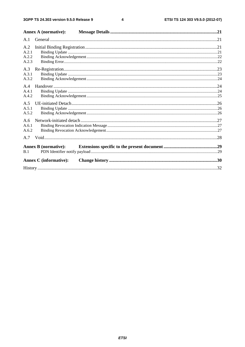$\overline{\mathbf{4}}$ 

|                       | Annex A (normative):          |  |
|-----------------------|-------------------------------|--|
| A.1                   |                               |  |
| A.2<br>A.2.1          |                               |  |
| A.2.2<br>A.2.3        |                               |  |
| A.3<br>A.3.1<br>A.3.2 |                               |  |
| A.4<br>A.4.1<br>A.4.2 |                               |  |
| A.5<br>A.5.1<br>A.5.2 |                               |  |
| A.6<br>A.6.1<br>A.6.2 |                               |  |
| A.7                   |                               |  |
| B.1                   | <b>Annex B</b> (normative):   |  |
|                       | <b>Annex C</b> (informative): |  |
|                       |                               |  |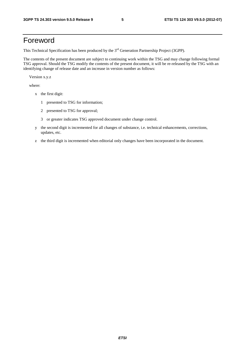### Foreword

This Technical Specification has been produced by the 3<sup>rd</sup> Generation Partnership Project (3GPP).

The contents of the present document are subject to continuing work within the TSG and may change following formal TSG approval. Should the TSG modify the contents of the present document, it will be re-released by the TSG with an identifying change of release date and an increase in version number as follows:

Version x.y.z

where:

- x the first digit:
	- 1 presented to TSG for information;
	- 2 presented to TSG for approval;
	- 3 or greater indicates TSG approved document under change control.
- y the second digit is incremented for all changes of substance, i.e. technical enhancements, corrections, updates, etc.
- z the third digit is incremented when editorial only changes have been incorporated in the document.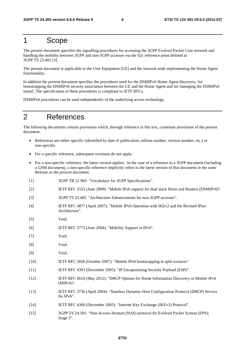### 1 Scope

The present document specifies the signalling procedures for accessing the 3GPP Evolved Packet Core network and handling the mobility between 3GPP and non-3GPP accesses via the S2c reference point defined in 3GPP TS 23.402 [3].

The present document is applicable to the User Equipment (UE) and the network node implementing the Home Agent functionality.

In addition the present document specifies the procedures used for the DSMIPv6 Home Agent discovery, for bootstrapping the DSMIPv6 security association between the UE and the Home Agent and for managing the DSMIPv6 tunnel. The specification of these procedures is compliant to IETF RFCs.

DSMIPv6 procedures can be used independently of the underlying access technology.

### 2 References

The following documents contain provisions which, through reference in this text, constitute provisions of the present document.

- References are either specific (identified by date of publication, edition number, version number, etc.) or non-specific.
- For a specific reference, subsequent revisions do not apply.
- For a non-specific reference, the latest version applies. In the case of a reference to a 3GPP document (including a GSM document), a non-specific reference implicitly refers to the latest version of that document *in the same Release as the present document*.
- [1] 3GPP TR 21.905: "Vocabulary for 3GPP Specifications".
- [2] IETF RFC 5555 (June 2009): "Mobile IPv6 support for dual stack Hosts and Routers (DSMIPv6)".
- [3] 3GPP TS 23.402: "Architecture Enhancements for non-3GPP accesses".
- [4] IETF RFC 4877 (April 2007): "Mobile IPv6 Operation with IKEv2 and the Revised IPsec Architecture".
- [5] Void.
- [6] IETF RFC 3775 (June 2004): "Mobility Support in IPv6".
- [7] Void.
- [8] Void.
- [9] Void.
- [10] IETF RFC 5026 (October 2007): "Mobile IPv6 bootstrapping in split scenario".
- [11] IETF RFC 4303 (December 2005): "IP Encapsulating Security Payload (ESP)".
- [12] IETF RFC 6610 (May 2012): "DHCP Options for Home Information Discovery in Mobile IPv6 (MIPv6)".
- [13] IETF RFC 3736 (April 2004): "Stateless Dynamic Host Configuration Protocol (DHCP) Service for IPv6".
- [14] IETF RFC 4306 (December 2005): "Internet Key Exchange (IKEv2) Protocol".
- [15] 3GPP TS 24.301: "Non-Access-Stratum (NAS) protocol for Evolved Packet System (EPS); Stage 3".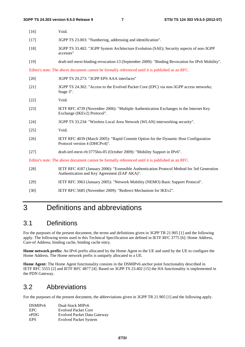| $[16]$ | Void.                                                                                                                                       |
|--------|---------------------------------------------------------------------------------------------------------------------------------------------|
| $[17]$ | 3GPP TS 23.003: "Numbering, addressing and identification".                                                                                 |
| $[18]$ | 3GPP TS 33.402: "3GPP System Architecture Evolution (SAE); Security aspects of non-3GPP<br>accesses"                                        |
| $[19]$ | draft-ietf-mext-binding-revocation-13 (September 2009): "Binding Revocation for IPv6 Mobility".                                             |
|        | Editor's note: The above document cannot be formally referenced until it is published as an RFC.                                            |
| $[20]$ | 3GPP TS 29.273: "3GPP EPS AAA interfaces"                                                                                                   |
| $[21]$ | 3GPP TS 24.302: "Access to the Evolved Packet Core (EPC) via non-3GPP access networks;<br>Stage 3".                                         |
| $[22]$ | Void.                                                                                                                                       |
| $[23]$ | IETF RFC 4739 (November 2006): "Multiple Authentication Exchanges in the Internet Key<br>Exchange (IKEv2) Protocol".                        |
| $[24]$ | 3GPP TS 33.234: "Wireless Local Area Network (WLAN) interworking security".                                                                 |
| $[25]$ | Void.                                                                                                                                       |
| $[26]$ | IETF RFC 4039 (March 2005): "Rapid Commit Option for the Dynamic Host Configuration<br>Protocol version 4 (DHCPv4)".                        |
| $[27]$ | draft-ietf-mext-rfc3775bis-05 (October 2009): "Mobility Support in IPv6".                                                                   |
|        | Editor's note: The above document cannot be formally referenced until it is published as an RFC.                                            |
| $[28]$ | IETF RFC 4187 (January 2006): "Extensible Authentication Protocol Method for 3rd Generation<br>Authentication and Key Agreement (EAP AKA)". |
| $[29]$ | IETF RFC 3963 (January 2005): "Network Mobility (NEMO) Basic Support Protocol".                                                             |
| $[30]$ | IETF RFC 5685 (November 2009): "Redirect Mechanism for IKEv2".                                                                              |

### 3 Definitions and abbreviations

### 3.1 Definitions

For the purposes of the present document, the terms and definitions given in 3GPP TR 21.905 [1] and the following apply. The following terms used in this Technical Specification are defined in IETF RFC 3775 [6]: Home Address, Care-of Address, binding cache, binding cache entry.

**Home network prefix:** An IPv6 prefix allocated by the Home Agent to the UE and used by the UE to configure the Home Address. The Home network prefix is uniquely allocated to a UE.

**Home Agent:** The Home Agent functionality consists in the DSMIPv6 anchor point functionality described in IETF RFC 5555 [2] and IETF RFC 4877 [4]. Based on 3GPP TS 23.402 [15] the HA functionality is implemented in the PDN Gateway.

### 3.2 Abbreviations

For the purposes of the present document, the abbreviations given in 3GPP TR 21.905 [1] and the following apply.

| DSMIP <sub>v6</sub> | Dual-Stack MIPv6                   |
|---------------------|------------------------------------|
| EPC.                | <b>Evolved Packet Core</b>         |
| ePDG                | <b>Evolved Packet Data Gateway</b> |
| <b>EPS</b>          | <b>Evolved Packet System</b>       |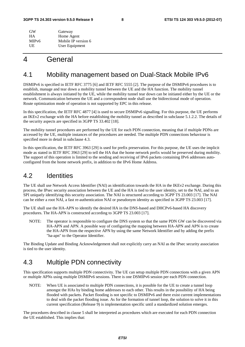| GW                 | Gateway             |
|--------------------|---------------------|
| <b>HA</b>          | Home Agent          |
| MIP <sub>v</sub> 6 | Mobile IP version 6 |
| UE                 | User Equipment      |

### 4 General

### 4.1 Mobility management based on Dual-Stack Mobile IPv6

DSMIPv6 is specified in IETF RFC 3775 [6] and IETF RFC 5555 [2]. The purpose of the DSMIPv6 procedures is to establish, manage and tear down a mobility tunnel between the UE and the HA function. The mobility tunnel establishment is always initiated by the UE, while the mobility tunnel tear down can be initiated either by the UE or the network. Communication between the UE and a correspondent node shall use the bidirectional mode of operation. Route optimization mode of operation is not supported by EPC in this release.

In this specification, the IETF RFC 4877 [4] is used to secure DSMIPv6 signalling. For this purpose, the UE performs an IKEv2 exchange with the HA before establishing the mobility tunnel as described in subclause 5.1.2.2. The details of the security aspects are specified in 3GPP TS 33.402 [18].

The mobility tunnel procedures are performed by the UE for each PDN connection, meaning that if multiple PDNs are accessed by the UE, multiple instances of the procedures are needed. The multiple PDN connections behaviour is specified more in detail in subclause 4.3.

In this specification, the IETF RFC 3963 [29] is used for prefix preservation. For this purpose, the UE uses the implicit mode as stated in IETF RFC 3963 [29] to tell the HA that the home network prefix would be preserved during mobility. The support of this operation is limited to the sending and receiving of IPv6 packets containing IPv6 addresses autoconfigured from the home network prefix, in addition to the IPv6 Home Address.

### 4.2 Identities

The UE shall use Network Access Identifier (NAI) as identification towards the HA in the IKEv2 exchange. During this process, the IPsec security association between the UE and the HA is tied to the user identity, set to the NAI, and to an SPI uniquely identifying this security association. The NAI is structured according to 3GPP TS 23.003 [17]. The NAI can be either a root NAI, a fast re-authentication NAI or pseudonym identity as specified in 3GPP TS 23.003 [17].

The UE shall use the HA-APN to identify the desired HA in the DNS-based and DHCPv6-based HA discovery procedures. The HA-APN is constructed according to 3GPP TS 23.003 [17].

NOTE: The operator is responsible to configure the DNS system so that the same PDN GW can be discovered via HA-APN and APN. A possible way of configuring the mapping between HA-APN and APN is to create the HA-APN from the respective APN by using the same Network Identifier and by adding the prefix "ha-apn" to the Operator Identifier.

The Binding Update and Binding Acknowledgement shall not explicitly carry an NAI as the IPsec security association is tied to the user identity.

### 4.3 Multiple PDN connectivity

This specification supports multiple PDN connectivity. The UE can setup multiple PDN connections with a given APN or multiple APNs using multiple DSMIPv6 sessions. There is one DSMIPv6 session per each PDN connection.

NOTE: When UE is associated to multiple PDN connections, it is possible for the UE to create a tunnel loop amongst the HAs by binding home addresses to each other. This results in the possibility of HA being flooded with packets. Packet flooding is not specific to DSMIPv6 and there exist current implementations to deal with the packet flooding issue. As for the formation of tunnel loop, the solution to solve it in this current specification (Release 9) is implementation specific until a standardized solution emerges.

The procedures described in clause 5 shall be interpreted as procedures which are executed for each PDN connection the UE established. This implies that: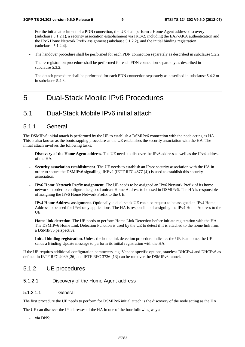- For the initial attachment of a PDN connection, the UE shall perform a Home Agent address discovery (subclause 5.1.2.1), a security association establishment via IKEv2, including the EAP-AKA authentication and the IPv6 Home Network Prefix assignment (subclause 5.1.2.2), and the initial binding registration (subclause 5.1.2.4).
- The handover procedure shall be performed for each PDN connection separately as described in subclause 5.2.2.
- The re-registration procedure shall be performed for each PDN connection separately as described in subclause 5.3.2.
- The detach procedure shall be performed for each PDN connection separately as described in subclause 5.4.2 or in subclause 5.4.3.

### 5 Dual-Stack Mobile IPv6 Procedures

### 5.1 Dual-Stack Mobile IPv6 initial attach

#### 5.1.1 General

The DSMIPv6 initial attach is performed by the UE to establish a DSMIPv6 connection with the node acting as HA. This is also known as the bootstrapping procedure as the UE establishes the security association with the HA. The initial attach involves the following tasks:

- **Discovery of the Home Agent address**. The UE needs to discover the IPv6 address as well as the IPv4 address of the HA.
- **Security association establishment**. The UE needs to establish an IPsec security association with the HA in order to secure the DSMIPv6 signalling. IKEv2 (IETF RFC 4877 [4]) is used to establish this security association.
- **IPv6 Home Network Prefix assignment**. The UE needs to be assigned an IPv6 Network Prefix of its home network in order to configure the global unicast Home Address to be used in DSMIPv6. The HA is responsible of assigning the IPv6 Home Network Prefix to the UE.
- **IPv4 Home Address assignment**. Optionally, a dual-stack UE can also request to be assigned an IPv4 Home Address to be used for IPv4-only applications. The HA is responsible of assigning the IPv4 Home Address to the UE.
- **Home link detection**. The UE needs to perform Home Link Detection before initiate registration with the HA. The DSMIPv6 Home Link Detection Function is used by the UE to detect if it is attached to the home link from a DSMIPv6 perspective.
- **Initial binding registration**. Unless the home link detection procedure indicates the UE is at home, the UE sends a Binding Update message to perform its initial registration with the HA.

If the UE requires additional configuration parameters, e.g. Vendor-specific options, stateless DHCPv4 and DHCPv6 as defined in IETF RFC 4039 [26] and IETF RFC 3736 [13] can be run over the DSMIPv6 tunnel.

#### 5.1.2 UE procedures

#### 5.1.2.1 Discovery of the Home Agent address

#### 5.1.2.1.1 General

The first procedure the UE needs to perform for DSMIPv6 initial attach is the discovery of the node acting as the HA.

The UE can discover the IP addresses of the HA in one of the four following ways:

via DNS;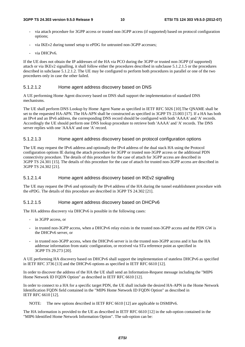- via attach procedure for 3GPP access or trusted non-3GPP access (if supported) based on protocol configuration options;
- via IKEv2 during tunnel setup to ePDG for untrusted non-3GPP accesses;
- via DHCPv6.

If the UE does not obtain the IP addresses of the HA via PCO during the 3GPP or trusted non-3GPP (if supported) attach or via IKEv2 signalling, it shall follow either the procedures described in subclause 5.1.2.1.5 or the procedures described in subclause 5.1.2.1.2. The UE may be configured to perform both procedures in parallel or one of the two procedures only in case the other failed.

#### 5.1.2.1.2 Home agent address discovery based on DNS

A UE performing Home Agent discovery based on DNS shall support the implementation of standard DNS mechanisms.

The UE shall perform DNS Lookup by Home Agent Name as specified in IETF RFC 5026 [10].The QNAME shall be set to the requested HA-APN. The HA-APN shall be constructed as specified in 3GPP TS 23.003 [17]. If a HA has both an IPv4 and an IPv6 address, the corresponding DNS record should be configured with both 'AAAA' and 'A' records. Accordingly the UE should perform one DNS lookup procedure to retrieve both 'AAAA' and 'A' records. The DNS server replies with one 'AAAA' and one 'A' record.

#### 5.1.2.1.3 Home agent address discovery based on protocol configuration options

The UE may request the IPv6 address and optionally the IPv4 address of the dual stack HA using the Protocol configuration options IE during the attach procedure for 3GPP or trusted non-3GPP access or the additional PDN connectivity procedure. The details of this procedure for the case of attach for 3GPP access are described in 3GPP TS 24.301 [15]. The details of this procedure for the case of attach for trusted non-3GPP access are described in 3GPP TS 24.302 [21].

#### 5.1.2.1.4 Home agent address discovery based on IKEv2 signalling

The UE may request the IPv6 and optionally the IPv4 address of the HA during the tunnel establishment procedure with the ePDG. The details of this procedure are described in 3GPP TS 24.302 [21].

#### 5.1.2.1.5 Home agent address discovery based on DHCPv6

The HA address discovery via DHCPv6 is possible in the following cases:

- in 3GPP access, or
- in trusted non-3GPP access, when a DHCPv6 relay exists in the trusted non-3GPP access and the PDN GW is the DHCPv6 server, or
- in trusted non-3GPP access, when the DHCPv6 server is in the trusted non-3GPP access and it has the HA addresse information from static configuration, or received via STa reference point as specified in 3GPP TS 29.273 [20].

A UE performing HA discovery based on DHCPv6 shall support the implementation of stateless DHCPv6 as specified in IETF RFC 3736 [13] and the DHCPv6 options as specified in IETF RFC 6610 [12].

In order to discover the address of the HA the UE shall send an Information-Request message including the "MIP6 Home Network ID FQDN Option" as described in IETF RFC 6610 [12].

In order to connect to a HA for a specific target PDN, the UE shall include the desired HA-APN in the Home Network Identification FQDN field contained in the "MIP6 Home Network ID FQDN Option" as described in IETF RFC 6610 [12].

NOTE: The new options described in IETF RFC 6610 [12] are applicable to DSMIPv6.

The HA information is provided to the UE as described in IETF RFC 6610 [12] in the sub-option contained in the "MIP6 Identified Home Network Information Option". The sub-option can be: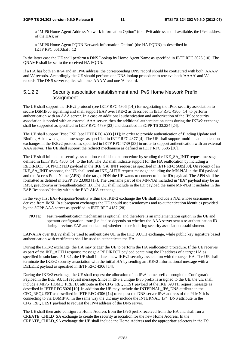- a "MIP6 Home Agent Address Network Information Option" (the IPv6 address and if available, the IPv4 address of the HA); or
- a "MIP6 Home Agent FQDN Network Information Option" (the HA FQDN) as described in IETF RFC 6610draft [12].

In the latter case the UE shall perform a DNS Lookup by Home Agent Name as specified in IETF RFC 5026 [10]. The ONAME shall be set to the received HA FODN.

If a HA has both an IPv4 and an IPv6 address, the corresponding DNS record should be configured with both 'AAAA' and 'A' records. Accordingly the UE should perform one DNS lookup procedure to retrieve both 'AAAA' and 'A' records. The DNS server replies with one 'AAAA' and one 'A' record.

#### 5.1.2.2 Security association establishment and IPv6 Home Network Prefix assignment

The UE shall support the IKEv2 protocol (see IETF RFC 4306 [14]) for negotiating the IPsec security association to secure DSMIPv6 signalling and shall support EAP over IKEv2 as described in IETF RFC 4306 [14] to perform authentication with an AAA server. In a case an additional authentication and authorization of the IPSec security association is needed with an external AAA server, then the additional authentication steps during the IKEv2 exchange shall be supported as specified in IETF RFC 4739 [23] and described in 3GPP TS 33.234 [24].

The UE shall support IPsec ESP (see IETF RFC 4303 [11]) in order to provide authentication of Binding Update and Binding Acknowledgement messages as specified in IETF RFC 4877 [4]. The UE shall support multiple authentication exchanges in the IKEv2 protocol as specified in IETF RFC 4739 [23] in order to support authentication with an external AAA server. The UE shall support the redirect mechanism as defined in IETF RFC 5685 [30].

The UE shall initiate the security association establishment procedure by sending the IKE\_SA\_INIT request message defined in IETF RFC 4306 [14] to the HA. The UE shall indicate support for the HA reallocation by including a REDIRECT\_SUPPORTED payload in the IKE\_SA\_INIT request as specified in IETF RFC 5685[30]. On receipt of an IKE\_SA\_INIT response, the UE shall send an IKE\_AUTH request message including the MN-NAI in the IDi payload and the Access Point Name (APN) of the target PDN the UE wants to connect to in the IDr payload. The APN shall be formatted as defined in 3GPP TS 23.003 [17]. The username part of the MN-NAI included in "IDi" payload may be an IMSI, pseudonym or re-authentication ID. The UE shall include in the IDi payload the same MN-NAI it includes in the EAP-Response/Identity within the EAP-AKA exchange.

In the very first EAP-Response/Identity within the IKEv2 exchange the UE shall include a NAI whose username is derived from IMSI. In subsequent exchanges the UE should use pseudonyms and re-authentication identities provided by the 3GPP AAA server as specified in IETF RFC 4187 [28].

NOTE: Fast re-authentication mechanism is optional, and therefore is an implementation option in the UE and operator configuration issue (i.e. it also depends on whether the AAA server sent a re-authentication ID during previous EAP authentication) whether to use it during security association establishment.

EAP-AKA over IKEv2 shall be used to authenticate UE in the IKE\_AUTH exchange, while public key signature based authentication with certificates shall be used to authenticate the HA.

During the IKEv2 exchange, the HA may trigger the UE to perform the HA reallocation procedure. If the UE receives as part of the IKE\_AUTH response message a REDIRECT payload containing the IP address of a target HA as specified in subclause 5.1.3.1, the UE shall initiate a new IKEv2 security association with the target HA. The UE shall terminate the IKEv2 security association with the initial HA by sending an IKEv2 Informational message with a DELETE payload as specified in IETF RFC 4306 [14].

During the IKEv2 exchange, the UE shall request the allocation of an IPv6 home prefix through the Configuration Payload in the IKE\_AUTH request message. Since in EPS a unique IPv6 prefix is assigned to the UE, the UE shall include a MIP6\_HOME\_PREFIX attribute in the CFG\_REQUEST payload of the IKE\_AUTH request message as described in IETF RFC 5026 [10]. In addition the UE may include the INTERNAL\_IP6\_DNS attribute in the CFG\_REQUEST as described in IETF RFC 4306 [14] to request the DNS server IPv6 address of the PLMN it is connecting to via DSMIPv6. In the same way the UE may include the INTERNAL\_IP4\_DNS attribute in the CFG\_REQUEST payload to request the IPv4 address of the DNS server.

The UE shall then auto-configure a Home Address from the IPv6 prefix received from the HA and shall run a CREATE\_CHILD\_SA exchange to create the security association for the new Home Address. In the CREATE\_CHILD\_SA exchange the UE shall include the Home Address and the appropriate selectors in the TSi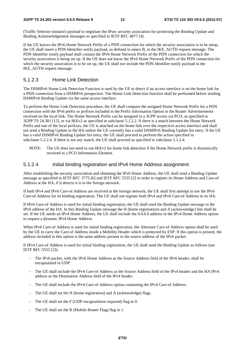(Traffic Selector-initiator) payload to negotiate the IPsec security association for protecting the Binding Update and Binding Acknowledgement messages as specified in IETF RFC 4877 [4].

If the UE knows the IPv6 Home Network Prefix of a PDN connection for which the security association is to be setup, the UE shall insert a PDN Identifier notify payload, as defined in annex B, in the IKE\_AUTH request message. The PDN Identifier notify payload shall contain the IPv6 Home Network Prefix of the PDN connection for which the security association is being set up. If the UE does not know the IPv6 Home Network Prefix of the PDN connection for which the security association is to be set up, the UE shall not include the PDN Identifier notify payload in the IKE\_AUTH request message.

#### 5.1.2.3 Home Link Detection

The DSMIPv6 Home Link Detection Function is used by the UE to detect if an access interface is on the home link for a PDN connection from a DSMIPv6 perspective. The Home Link Detection function shall be performed before sending DSMIPv6 Binding Update via the same access interface.

To perform the Home Link Detection procedure, the UE shall compare the assigned Home Network Prefix for a PDN connection with the IPv6 prefix or prefixes included in the Prefix Information Option in the Router Advertisements received on the local link. The Home Network Prefix can be assigned in a 3GPP access via PCO, as specified in 3GPP TS 24.301 [15], or via IKEv2 as specified in subclause 5.1.2.2. If there is a match between the Home Network Prefix and one of the local prefixes, the UE is attached on the home link over the respective access interface and shall not send a Binding Update to the HA unless the UE currently has a valid DSMIPv6 Binding Update list entry. If the UE has a valid DSMIPv6 Binding Update list entry, the UE shall proceed to perform the action specified in subclause 5.2.2.4. If there is not any match, the UE shall proceed as specified in subclause 5.1.2.4.

NOTE: The UE does not need to run IKEv2 for home link detection if the Home Network prefix is dynamically received in a PCO Information Element.

#### 5.1.2.4 Initial binding registration and IPv4 Home Address assignment

After establishing the security association and obtaining the IPv6 Home Address, the UE shall send a Binding Update message as specified in IETF RFC 3775 [6] and IETF RFC 5555 [2] in order to register its Home Address and Care-of Address at the HA, if it detects it is in the foreign network.

If both IPv4 and IPv6 Care-of Address are received at the foreign network, the UE shall first attempt to use the IPv6 Care-of Address for its binding registration. The UE shall not register both IPv4 and IPv6 Care-of Address to its HA.

If IPv6 Care-of Address is used for initial binding registration, the UE shall send the Binding Update message to the IPv6 address of the HA. In this Binding Update message the H (home registration) and A (acknowledge) bits shall be set. If the UE needs an IPv4 Home Address, the UE shall include the 0.0.0.0 address in the IPv4 Home Address option to request a dynamic IPv4 Home Address.

When IPv6 Care-of Address is used for initial binding registration, the Alternate Care-of Address option shall be used by the UE to carry the Care-of Address inside a Mobility Header which is protected by ESP. If this option is present, the address included in this option is the same address present in the source address of the IPv6 packet.

If IPv4 Care-of Address is used for initial binding registration, the UE shall send the Binding Update as follows (see IETF RFC 5555 [2]):

- The IPv6 packet, with the IPv6 Home Address as the Source Address field of the IPv6 header, shall be encapsulated in UDP.
- The UE shall include the IPv4 Care-of Address as the Source Address field of the IPv4 header and the HA IPv4 address as the Destination Address field of the IPv4 header.
- The UE shall include the IPv4 Care-of Address option containing the IPv4 Care-of Address.
- The UE shall set the H (home registration) and A (acknowledge) flags.
- The UE shall set the F (UDP encapsulation required) flag to 0.
- The UE shall set the R (Mobile Router Flag) flag to 1.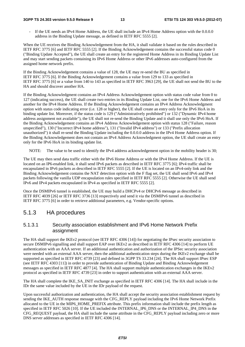#### **3GPP TS 24.303 version 9.5.0 Release 9 13 ETSI TS 124 303 V9.5.0 (2012-07)**

If the UE needs an IPv4 Home Address, the UE shall include an IPv4 Home Address option with the 0.0.0.0 address in the Binding Update message, as defined in IETF RFC 5555 [2].

When the UE receives the Binding Acknowledgement from the HA, it shall validate it based on the rules described in IETF RFC 3775 [6] and IETF RFC 5555 [2]. If the Binding Acknowledgement contains the successful status code 0 ("Binding Update Accepted"), the UE shall create an entry for the registered Home Address in its Binding Update List and may start sending packets containing its IPv6 Home Address or other IPv6 addresses auto-configured from the assigned home network prefix.

If the Binding Acknowledgement contains a value of 128, the UE may re-send the BU as specified in IETF RFC 3775 [6]. If the Binding Acknowledgement contains a value from 129 to 133 as specified in IETF RFC 3775 [6] or a value from 140 to 143 as specified in IETF RFC 3963 [29], the UE shall not send the BU to the HA and should discover another HA.

If the Binding Acknowledgment contains an IPv4 Address Acknowledgement option with status code value from 0 to 127 (indicating success), the UE shall create two entries in its Binding Update List, one for the IPv6 Home Address and another for the IPv4 Home Address. If the Binding Acknowledgement contains an IPv4 Address Acknowledgment option with status code indicating error (i.e. 128 or higher), the UE shall create an entry only for the IPv6 HoA in its binding update list. Moreover, if the status code is 129 ("Administratively prohibited") or 132 ("Dynamic IPv4 home address assignment not available"), the UE shall not re-send the Binding Update and it shall use only the IPv6 HoA. If the Binding Acknowledgement contains an IPv4 Address Acknowledgement option with status 128 ("Failure, reason unspecified"), 130 ("Incorrect IPv4 home address"), 131 ("Invalid IPv4 address") or 133 ("Prefix allocation unauthorized") it shall re-send the Binding Update including the 0.0.0.0 address in the IPv4 Home Address option. If the Binding Acknowledgement does not contain an IPv4 Address Acknowledgment option, the UE shall create an entry only for the IPv6 HoA in its binding update list.

NOTE: The value to be used to identify the IPv4 address acknowledgement option in the mobility header is 30;

The UE may then send data traffic either with the IPv6 Home Address or with the IPv4 Home Address. If the UE is located on an IP6-enabled link, it shall send IPv6 packets as described in IETF RFC 3775 [6]; IPv4 traffic shall be encapsulated in IPv6 packets as described in IETF RFC 5555 [2]. If the UE is located on an IPv4-only link and the Binding Acknowledgement contains the NAT detection option with the F flag set, the UE shall send IPv6 and IPv4 packets following the vanilla UDP encapsulation rules specified in IETF RFC 5555 [2]. Otherwise the UE shall send IPv6 and IPv4 packets encapsulated in IPv4 as specified in IETF RFC 5555 [2].

Once the DSMIPv6 tunnel is established, the UE may build a DHCPv4 or DHCPv6 message as described in IETF RFC 4039 [26] or IETF RFC 3736 [13] respectively and send it via the DSMIPv6 tunnel as described in IETF RFC 3775 [6] in order to retrieve additional parameters, e.g. Vendor-specific options.

#### 5.1.3 HA procedures

#### 5.1.3.1 Security association establishment and IPv6 Home Network Prefix assignment

The HA shall support the IKEv2 protocol (see IETF RFC 4306 [14]) for negotiating the IPsec security association to secure DSMIPv6 signalling and shall support EAP over IKEv2 as described in IETF RFC 4306 [14] to perform UE authentication with an AAA server. If an additional authentication and authorization of the IPSec security association were needed with an external AAA server, then the additional authentication steps during the IKEv2 exchange shall be supported as specified in IETF RFC 4739 [23] and defined in 3GPP TS 33.234 [24]. The HA shall support IPsec ESP (see IETF RFC 4303 [11]) in order to provide authentication of Binding Update and Binding Acknowledgement messages as specified in IETF RFC 4877 [4]. The HA shall support multiple authentication exchanges in the IKEv2 protocol as specified in IETF RFC 4739 [23] in order to support authentication with an external AAA server.

The HA shall complete the IKE\_SA\_INIT exchange as specified in IETF RFC 4306 [14]. The HA shall include in the IDr the same value included by the UE in the IDr payload of the request.

Upon successful authorization and authentication, the HA shall accept the security association establishment request by sending the IKE\_AUTH response message with the CFG\_REPLY payload including the IPv6 Home Network Prefix allocated to the UE in the MIP6\_HOME\_PREFIX attribute. This prefix information shall include the prefix length as specified in IETF RFC 5026 [10]. If the UE included the INTERNAL\_IP6\_DNS or the INTERNAL\_IP4\_DNS in the CFG\_REQUEST payload, the HA shall include the same attribute in the CFG\_REPLY payload including zero or more DNS server addresses as specified in IETF RFC 4306 [14].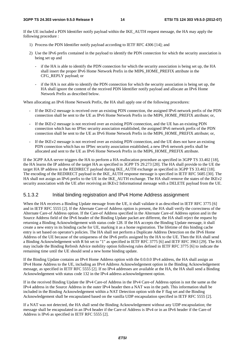If the UE included a PDN Identifier notify payload within the IKE\_AUTH request message, the HA may apply the following procedure :

- 1) Process the PDN Identifier notify payload according to IETF RFC 4306 [14]; and
- 2) Use the IPv6 prefix contained in the payload to identify the PDN connection for which the security association is being set up and
	- if the HA is able to identify the PDN connection for which the security association is being set up, the HA shall insert the proper IPv6 Home Network Prefix in the MIP6\_HOME\_PREFIX attribute in the CFG\_REPLY payload; or
	- if the HA is not able to identify the PDN connection for which the security association is being set up, the HA shall ignore the content of the received PDN Identifier notify payload and allocate an IPv6 Home Network Prefix as described below.

When allocating an IPv6 Home Network Prefix, the HA shall apply one of the following procedures:

- If the IKEv2 message is received over an existing PDN connection, the assigned IPv6 network prefix of the PDN connection shall be sent to the UE as IPv6 Home Network Prefix in the MIP6\_HOME\_PREFIX attribute; or,
- If the IKEv2 message is not received over an existing PDN connection, and the UE has an existing PDN connection which has no IPSec security association established, the assigned IPv6 network prefix of the PDN connection shall be sent to the UE as IPv6 Home Network Prefix in the MIP6\_HOME\_PREFIX attribute; or,
- If the IKEv2 message is not received over an existing PDN connection, and the UE does not have an existing PDN connection which has no IPSec security association established, a new IPv6 network prefix shall be allocated and sent to the UE as IPv6 Home Network Prefix in the MIP6\_HOME\_PREFIX attribute.

If the 3GPP AAA server triggers the HA to perform a HA reallocation procedure as specified in 3GPP TS 33.402 [18], the HA learns the IP address of the target HA as specified in 3GPP TS 29.273 [20]. The HA shall provide to the UE the target HA IP address in the REDIRECT payload during IKE\_AUTH exchange as specified in 3GPP TS 33.402 [18]. The encoding of the REDIRECT payload in the IKE\_AUTH response message is specified in IETF RFC 5685 [30]. The HA shall not assign an IPv6 prefix to the UE in the IKE\_AUTH exchange. The HA shall remove the states of the IKEv2 security association with the UE after receiving an IKEv2 Informational message with a DELETE payload from the UE.

#### 5.1.3.2 Initial binding registration and IPv4 Home Address assignment

When the HA receives a Binding Update message from the UE, it shall validate it as described in IETF RFC 3775 [6] and in IETF RFC 5555 [2]. If the Alternate Care-of Address option is present, the HA shall verify the correctness of the Alternate Care-of Address option. If the Care-of Address specified in the Alternate Care-of Address option and in the Source Address field of the IPv6 header of the Binding Update packet are different, the HA shall reject the request by returning a Binding Acknowledgement with status code 128. If the HA accepts the Binding Update message, it shall create a new entry in its binding cache for UE, marking it as a home registration. The lifetime of this binding cache entry is set based on operator's policies. The HA shall not perform a Duplicate Address Detection on the IPv6 Home Address of the UE because of the uniqueness of the IPv6 prefix assigned by the HA to the UE. Then the HA shall send a Binding Acknowledgement with R bit set to "1" as specified in IETF RFC 3775 [6] and IETF RFC 3963 [29]. The HA may include the Binding Refresh Advice mobility option following rules defined in IETF RFC 3775 [6] to indicate the remaining time until the UE should send a new home binding update.

If the Binding Update contains an IPv4 Home Address option with the 0.0.0.0 IPv4 address, the HA shall assign an IPv4 Home Address to the UE, including an IPv4 Address Acknowledgement option in the Binding Acknowledgement message, as specified in IETF RFC 5555 [2]. If no IPv4 addresses are available at the HA, the HA shall send a Binding Acknowledgement with status code 132 in the IPv4 address acknowledgement option.

If in the received Binding Update the IPv4 Care-of Address in the IPv4 Care-of Address option is not the same as the IPv4 address in the Source Address in the outer IPv4 header then a NAT was in the path. This information shall be included in the Binding Acknowledgement within a NAT Detection option with the F flag set and the Binding Acknowledgement shall be encapsulated based on the vanilla UDP encapsulation specified in IETF RFC 5555 [2].

If a NAT was not detected, the HA shall send the Binding Acknowledgement without any UDP encapsulation; the message shall be encapsulated in an IPv4 header if the Care-of Address is IPv4 or in an IPv6 header if the Care-of Address is IPv6 as specified in IETF RFC 5555 [2].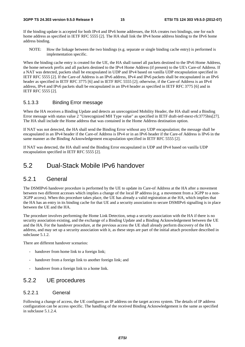If the binding update is accepted for both IPv4 and IPv6 home addresses, the HA creates two bindings, one for each home address as specified in IETF RFC 5555 [2]. The HA shall link the IPv4 home address binding to the IPv6 home address binding.

NOTE: How the linkage between the two bindings (e.g. separate or single binding cache entry) is performed is implementation specific.

When the binding cache entry is created for the UE, the HA shall tunnel all packets destined to the IPv6 Home Address, the home network prefix and all packets destined to the IPv4 Home Address (if present) to the UE's Care-of Address. If a NAT was detected, packets shall be encapsulated in UDP and IPv4 based on vanilla UDP encapsulation specified in IETF RFC 5555 [2]. If the Care-of Address is an IPv6 address, IPv4 and IPv6 packets shall be encapsulated in an IPv6 header as specified in IETF RFC 3775 [6] and in IETF RFC 5555 [2]; otherwise, if the Care-of Address is an IPv4 address, IPv4 and IPv6 packets shall be encapsulated in an IPv4 header as specified in IETF RFC 3775 [6] and in IETF RFC 5555 [2].

#### 5.1.3.3 Binding Error message

When the HA receives a Binding Update and detects an unrecognized Mobility Header, the HA shall send a Binding Error message with status value 2 "Unrecognized MH Type value" as specified in IETF draft-ietf-mext-rfc3775bis[27]. The HA shall include the Home address that was contained in the Home Address destination option.

If NAT was not detected, the HA shall send the Binding Error without any UDP encapsulation; the message shall be encapsulated in an IPv4 header if the Care-of Address is IPv4 or in an IPv6 header if the Care-of Address is IPv6 in the same manner as the Binding Acknowledgement encapsulation specified in IETF RFC 5555 [2].

If NAT was detected, the HA shall send the Binding Error encapsulated in UDP and IPv4 based on vanilla UDP encapsulation specified in IETF RFC 5555 [2].

### 5.2 Dual-Stack Mobile IPv6 handover

#### 5.2.1 General

The DSMIPv6 handover procedure is performed by the UE to update its Care-of Address at the HA after a movement between two different accesses which implies a change of the local IP address (e.g. a movement from a 3GPP to a non-3GPP access). When this procedure takes place, the UE has already a valid registration at the HA, which implies that the HA has an entry in its binding cache for that UE and a security association to secure DSMIPv6 signalling is in place between the UE and the HA.

The procedure involves performing the Home Link Detection, setup a security association with the HA if there is no security association existing, and the exchange of a Binding Update and a Binding Acknowledgement between the UE and the HA. For the handover procedure, at the previous access the UE shall already perform discovery of the HA address, and may set up a security association with it, as these steps are part of the initial attach procedure described in subclause 5.1.2.

There are different handover scenarios:

- handover from home link to a foreign link;
- handover from a foreign link to another foreign link; and
- handover from a foreign link to a home link.

### 5.2.2 UE procedures

#### 5.2.2.1 General

Following a change of access, the UE configures an IP address on the target access system. The details of IP address configuration can be access specific. The handling of the received Binding Acknowledgement is the same as specified in subclause 5.1.2.4.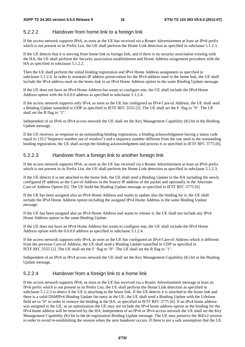#### 5.2.2.2 Handover from home link to a foreign link

If the access network supports IPv6, as soon as the UE has received via a Router Advertisement at least an IPv6 prefix which is not present in its Prefix List, the UE shall perform the Home Link detection as specified in subclause 5.1.2.3.

If the UE detects that it is moving from home link to foreign link, and if there is no security association existing with the HA, the UE shall perform the Security association establishment and Home Address assignment procedure with the HA as specified in subclause 5.1.2.2.

Then the UE shall perform the initial binding registration and IPv4 Home Address assignment as specified in subclause 5.1.2.4. In order to maintain IP address preservation for the IPv4 address used in the home link, the UE shall include the IPv4 address used on the home link in an IPv4 Home Address option in the same Binding Update message.

If the UE does not have an IPv4 Home Address but wants to configure one, the UE shall include the IPv4 Home Address option with the 0.0.0.0 address as specified in subclause 5.1.2.4.

If the access network supports only IPv4, as soon as the UE has configured an IPv4 Care-of Address, the UE shall send a Binding Update tunnelled in UDP as specified in IETF RFC 5555 [2]. The UE shall set the F flag to "0". The UE shall set the R flag to "1".

Independent of an IPv6 or IPv4 access network the UE shall set the Key Management Capability (K) bit in the Binding Update message.

If the UE receives, as response to an outstanding binding registration, a binding acknowledgment having a status code equal to 135 ("Sequence number out of window") and a sequence number different from the one used in the outstanding binding registration, the UE shall accept the binding acknowledgment and process it as specified in IETF RFC 3775 [6].

#### 5.2.2.3 Handover from a foreign link to another foreign link

If the access network supports IPv6, as soon as the UE has received via a Router Advertisement at least an IPv6 prefix which is not present in its Prefix List, the UE shall perform the Home Link detection as specified in subclause 5.1.2.3.

If the UE detects it is not attached to the home link, the UE shall send a Binding Update to the HA including the newly configured IP address as the Care-of Address in the Source IP address of the packet and optionally in the Alternate Care-of Address Option [6]. The UE build the Binding Update message as specified in IETF RFC 3775 [6].

If the UE has been assigned also an IPv4 Home Address and wants to update also the binding for it, the UE shall include the IPv4 Home Address option including the assigned IPv4 Home Address in the same Binding Update message.

If the UE has been assigned also an IPv4 Home Address and wants to release it, the UE shall not include any IPv4 Home Address option in the same Binding Update.

If the UE does not have an IPv4 Home Address but wants to configure one, the UE shall include the IPv4 Home Address option with the 0.0.0.0 address as specified in subclause 5.1.2.4.

If the access network supports only IPv4, as soon as the UE has configured an IPv4 Care-of Address which is different from the previous Care-of Address, the UE shall send a Binding Update tunnelled in UDP as specified in IETF RFC 5555 [2]. The UE shall set the F flag to "0". The UE shall set the R flag to "1".

Independent of an IPv6 or IPv4 access network the UE shall set the Key Management Capability (K) bit in the Binding Update message.

#### 5.2.2.4 Handover from a foreign link to a home link

If the access network supports IPv6, as soon as the UE has received via a Router Advertisement message at least an IPv6 prefix which is not present in its Prefix List, the UE shall perform the Home Link detection as specified in subclause 5.1.2.3 to detect if the UE is attaching to the home link. If the UE detects it is attached to the home link and there is a valid DSMIPv6 Binding Update list entry at the UE, the UE shall send a Binding Update with the Lifetime field set to "0" in order to remove the binding at the HA, as specified in IETF RFC 3775 [6]. If an IPv4 home address was assigned to the UE, as an optimization the UE may not include the IPv4 home address option as the binding for the IPv4 home address will be removed by the HA. Independent of an IPv6 or IPv4 access network the UE shall set the Key Management Capability (K) bit in the de-registration Binding Update message. The UE may preserve the IKEv2 session in order to avoid re-establishing the session when the next handover occurs. If there is not a safe assumption that the UE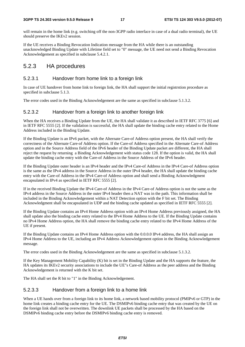will remain in the home link (e.g. switching off the non-3GPP radio interface in case of a dual radio terminal), the UE should preserve the IKEv2 session.

If the UE receives a Binding Revocation Indication message from the HA while there is an outstanding unacknowledged Binding Update with Lifetime field set to "0" message, the UE need not send a Binding Revocation Acknowledgement as specified in subclause 5.4.2.1.

#### 5.2.3 HA procedures

#### 5.2.3.1 Handover from home link to a foreign link

In case of UE handover from home link to foreign link, the HA shall support the initial registrstion procedure as specified in subclause 5.1.3.

The error codes used in the Binding Acknowledgement are the same as specified in subclause 5.1.3.2.

#### 5.2.3.2 Handover from a foreign link to another foreign link

When the HA receives a Binding Update from the UE, the HA shall validate it as described in IETF RFC 3775 [6] and in IETF RFC 5555 [2]. If the validation is successful, the HA shall update the binding cache entry related to the Home Address included in the Binding Update.

If the Binding Update is an IPv6 packet, with the Alternate Care-of Address option present, the HA shall verify the correctness of the Alternate Care-of Address option. If the Care-of Address specified in the Alternate Care-of Address option and in the Source Address field of the IPv6 header of the Binding Update packet are different, the HA shall reject the request by returning a Binding Acknowledgement with status code 128. If the option is valid, the HA shall update the binding cache entry with the Care-of Address in the Source Address of the IPv6 header.

If the Binding Update outer header is an IPv4 header and the IPv4 Care-of Address in the IPv4 Care-of Address option is the same as the IPv4 address in the Source Address in the outer IPv4 header, the HA shall update the binding cache entry with the Care-of Address in the IPv4 Care-of Address option and shall send a Binding Acknowledgment encapsulated in IPv4 as specified in IETF RFC 5555 [2].

If in the received Binding Update the IPv4 Care-of Address in the IPv4 Care-of Address option is not the same as the IPv4 address in the Source Address in the outer IPv4 header then a NAT was in the path. This information shall be included in the Binding Acknowledgement within a NAT Detection option with the F bit set. The Binding Acknowledgment shall be encapsulated in UDP and the binding cache updated as specified in IETF RFC 5555 [2].

If the Binding Update contains an IPv4 Home Address option with an IPv4 Home Address previously assigned, the HA shall update also the binding cache entry related to the IPv4 Home Address to the UE. If the Binding Update contains no IPv4 Home Address option, the HA shall remove the binding cache entry related to the IPv4 Home Address of the UE if present.

If the Binding Update contains an IPv4 Home Address option with the 0.0.0.0 IPv4 address, the HA shall assign an IPv4 Home Address to the UE, including an IPv4 Address Acknowledgement option in the Binding Acknowledgement message.

The error codes used in the Binding Acknowledgement are the same as specified in subclause 5.1.3.2.

If the Key Management Mobility Capability (K) bit is set in the Binding Update and the HA supports the feature, the HA updates its IKEv2 security associations to include the UE"s Care-of Address as the peer address and the Binding Acknowledgement is returned with the K bit set.

The HA shall set the R bit to "1" in the Binding Acknowledgement.

#### 5.2.3.3 Handover from a foreign link to a home link

When a UE hands over from a foreign link to its home link, a network based mobility protocol (PMIPv6 or GTP) in the home link creates a binding cache entry for the UE. The DSMIPv6 binding cache entry that was created by the UE on the foreign link shall not be overwritten. The downlink UE packets shall be processed by the HA based on the DSMIPv6 binding cache entry before the DSMIPv6 binding cache entry is removed.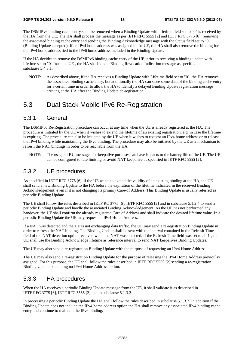The DSMIPv6 binding cache entry shall be removed when a Binding Update with lifetime field set to "0" is received by the HA from the UE. The HA shall process the message as per IETF RFC 5555 [2] and IETF RFC 3775 [6], removing the associated binding cache entry and sending the Binding Acknowledge message with the Status field set to "0" (Binding Update accepted). If an IPv4 home address was assigned to the UE, the HA shall also remove the binding for the IPv4 home address tied to the IPv6 home address included in the Binding Update.

If the HA decides to remove the DSMIPv6 binding cache entry of the UE, prior to receiving a binding update with lifetime set to "0" from the UE , the HA shall send a Binding Revocation Indication message as specified in subclause 5.4.3.1.

NOTE: As described above, if the HA receives a Binding Update with Lifetime field set to "0", the HA removes the associated binding cache entry, but additionally the HA can store some data of the binding cache entry for a certain time in order to allow the HA to identify a delayed Binding Update registration message arriving at the HA after the Binding Update de-registration.

### 5.3 Dual Stack Mobile IPv6 Re-Registration

#### 5.3.1 General

The DSMIPv6 Re-Registration procedure can occur at any time when the UE is already registered at the HA. The procedure is initiated by the UE when it wishes to extend the lifetime of an existing registration, e.g. in case the lifetime is expiring. The procedure can also be initiated by the UE when it wishes to request an IPv4 home address or to release the IPv4 binding while maintaining the IPv6 binding. The procedure may also be initiated by the UE as a mechanism to refresh the NAT bindings in order to be reachable from the HA.

NOTE: The usage of BU messages for keepalive purposes can have impacts to the battery life of the UE. The UE can be configured to rate limiting or avoid NAT keepalive as specified in IETF RFC 5555 [2].

#### 5.3.2 UE procedures

As specified in IETF RFC 3775 [6], if the UE wants to extend the validity of an existing binding at the HA, the UE shall send a new Binding Update to the HA before the expiration of the lifetime indicated in the received Binding Acknowledgement, even if it is not changing its primary Care-of Address. This Binding Update is usually referred as periodic Binding Update.

The UE shall follow the rules described in IETF RC 3775 [6], IETF RFC 5555 [2] and in subclause 5.1.2.4 to send a periodic Binding Update and handle the associated Binding Acknowledgement. As the UE has not performed any handover, the UE shall confirm the already registered Care of Address and shall indicate the desired lifetime value. In a periodic Binding Update the UE may request an IPv4 Home Address.

If a NAT was detected and the UE is not exchanging data traffic, the UE may send a re-registration Binding Update in order to refresh the NAT binding. The Binding Update shall be sent with the interval contained in the Refresh Time field of the NAT detection option received when the NAT was detected. If the Refresh Time field was set to all 1s, the UE shall use the Binding Acknowledge lifetime as reference interval to send NAT keepalives Binding Updates.

The UE may also send a re-registration Binding Update with the purpose of requesting an IPv4 Home Address.

The UE may also send a re-registration Binding Update for the purpose of releasing the IPv4 Home Address previoulsy assigned. For this purpose, the UE shall follow the rules described in IETF RFC 5555 [2] sending a re-registration Binding Update containing no IPv4 Home Address option.

#### 5.3.3 HA procedures

When the HA receives a periodic Binding Update message from the UE, it shall validate it as described in IETF RFC 3775 [6], IETF RFC 5555 [2] and in subclause 5.1.3.2.

In processing a periodic Binding Update the HA shall follow the rules described in subclause 5.1.3.2. In addition if the Binding Update does not include the IPv4 home address option the HA shall remove any associated IPv4 binding cache entry and continue to maintain the IPv6 binding.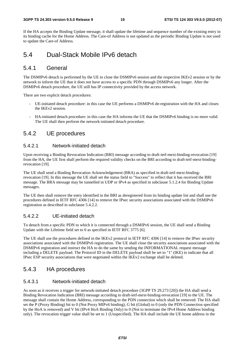If the HA accepts the Binding Update message, it shall update the lifetime and sequence number of the existing entry in its binding cache for the Home Address. The Care-of Address is not updated as the periodic Binding Update is not used to update the Care-of Address.

### 5.4 Dual-Stack Mobile IPv6 detach

#### 5.4.1 General

The DSMIPv6 detach is performed by the UE to close the DSMIPv6 session and the respective IKEv2 session or by the network to inform the UE that it does not have access to a specific PDN through DSMIPv6 any longer. After the DSMIPv6 detach procedure, the UE still has IP connectivity provided by the access network.

There are two explicit detach procedures:

- UE-initiated detach procedure: in this case the UE performs a DSMIPv6 de-registration with the HA and closes the IKEv2 session.
- HA-initiated detach procedure: in this case the HA informs the UE that the DSMIPv6 binding is no more valid. The UE shall then perform the network-initiated detach procedure.

### 5.4.2 UE procedures

#### 5.4.2.1 Network-initiated detach

Upon receiving a Binding Revocation Indication (BRI) message according to draft-ietf-mext-binding-revocation [19] from the HA, the UE first shall perform the required validity checks on the BRI according to draft-ietf-mext-bindingrevocation [19].

The UE shall send a Binding Revocation Acknowledgement (BRA) as specified in draft-ietf-mext-bindingrevocation [19]. In this message the UE shall set the status field to "Success" to reflect that it has received the BRI message. The BRA message may be tunnelled in UDP or IPv4 as specified in subclause 5.1.2.4 for Binding Update messages.

The UE then shall remove the entry identified in the BRI as deregistered from its binding update list and shall use the procedures defined in IETF RFC 4306 [14] to remove the IPsec security associations associated with the DSMIPv6 registration as described in subclause 5.4.2.2.

#### 5.4.2.2 UE-initiated detach

To detach from a specific PDN to which it is connected through a DSMIPv6 session, the UE shall send a Binding Update with the Lifetime field set to 0 as specified in IETF RFC 3775 [6].

The UE shall use the procedures defined in the IKEv2 protocol in IETF RFC 4306 [14] to remove the IPsec security associations associated with the DSMIPv6 registration. The UE shall close the security associations associated with the DSMIPv6 registration and instruct the HA to do the same by sending the INFORMATIONAL request message including a DELETE payload. The Protocol ID in the DELETE payload shall be set to "1" (IKE) to indicate that all IPsec ESP security associations that were negotiated within the IKEv2 exchange shall be deleted.

#### 5.4.3 HA procedures

#### 5.4.3.1 Network-initiated detach

As soon as it receives a trigger for network-initiated detach procedure (3GPP TS 29.273 [20]) the HA shall send a Binding Revocation Indication (BRI) message according to draft-ietf-mext-binding-revocation [19] to the UE. The message shall contain the Home Address, corresponding to the PDN connection which shall be removed. The HA shall set the P (Proxy Binding) bit to 0 (Not Proxy MIPv6 binding), G bit (Global) to 0 (only the PDN Connection specified by the HoA is removed) and V bit (IPv4 HoA Binding Only) to 0 (Not to terminate the IPv4 Home Address binding only). The revocation trigger value shall be set to 1 (Unspecified). The HA shall include the UE home address in the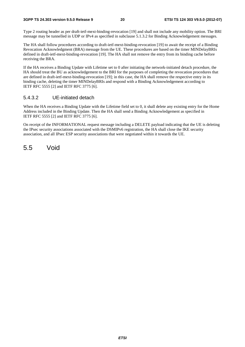#### **3GPP TS 24.303 version 9.5.0 Release 9 20 ETSI TS 124 303 V9.5.0 (2012-07)**

Type 2 routing header as per draft-ietf-mext-binding-revocation [19] and shall not include any mobility option. The BRI message may be tunnelled in UDP or IPv4 as specified in subclause 5.1.3.2 for Binding Acknowledgement messages.

The HA shall follow procedures according to draft-ietf-mext-binding-revocation [19] to await the receipt of a Binding Revocation Acknowledgment (BRA) message from the UE. These procedures are based on the timer MINDelayBRIs defined in draft-ietf-mext-binding-revocation [19]. The HA shall not remove the entry from its binding cache before receiving the BRA.

If the HA receives a Binding Update with Lifetime set to 0 after initiating the network-initiated detach procedure, the HA should treat the BU as acknowledgement to the BRI for the purposes of completing the revocation procedures that are defined in draft-ietf-mext-binding-revocation [19]; in this case, the HA shall remove the respective entry in its binding cache, deleting the timer MINDelayBRIs and respond with a Binding Acknowledgement according to IETF RFC 5555 [2] and IETF RFC 3775 [6].

#### 5.4.3.2 UE-initiated detach

When the HA receives a Binding Update with the Lifetime field set to 0, it shall delete any existing entry for the Home Address included in the Binding Update. Then the HA shall send a Binding Acknowledgement as specified in IETF RFC 5555 [2] and IETF RFC 3775 [6].

On receipt of the INFORMATIONAL request message including a DELETE payload indicating that the UE is deleting the IPsec security associations associated with the DSMIPv6 registration, the HA shall close the IKE security association, and all IPsec ESP security associations that were negotiated within it towards the UE.

5.5 Void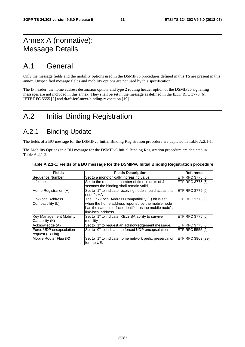### Annex A (normative): Message Details

### A.1 General

Only the message fields and the mobility options used in the DSMIPv6 procedures defined in this TS are present in this annex. Unspecified message fields and mobility options are not used by this specification.

The IP header, the home address destination option, and type 2 routing header option of the DSMIPv6 signalling messages are not included in this annex. They shall be set in the message as defined in the IETF RFC 3775 [6], IETF RFC 5555 [2] and draft-ietf-mext-binding-revocation [19].

### A.2 Initial Binding Registration

### A.2.1 Binding Update

The fields of a BU message for the DSMIPv6 Initial Binding Registration procedure are depicted in Table A.2.1-1.

The Mobility Options in a BU message for the DSMIPv6 Initial Binding Registration procedure are depicted in Table A.2.1-2.

| <b>Fields</b>                               | <b>Fields Description</b>                                                                                                                                                                 | <b>Reference</b>         |
|---------------------------------------------|-------------------------------------------------------------------------------------------------------------------------------------------------------------------------------------------|--------------------------|
| Sequence Number                             | Set to a monotonically increasing value.                                                                                                                                                  | <b>IETF RFC 3775 [6]</b> |
| Lifetime                                    | Set to the requested number of time in units of 4<br>seconds the binding shall remain valid.                                                                                              | <b>IETF RFC 3775 [6]</b> |
| Home Registration (H)                       | Set to "1" to indicate receiving node should act as this<br>node"s HA                                                                                                                     | IETF RFC 3775 [6]        |
| Link-local Address<br>Compatibility (L)     | The Link-Local Address Compatibility (L) bit is set<br>when the home address reported by the mobile node<br>has the same interface identifier as the mobile node's<br>link-local address. | IETF RFC 3775 [6]        |
| Key Management Mobility<br>Capability (K)   | Set to "1" to indicate IKEv2 SA ability to survive<br>mobility                                                                                                                            | <b>IETF RFC 3775 [6]</b> |
| Acknowledge (A)                             | Set to "1" to request an acknowledgement message.                                                                                                                                         | <b>IETF RFC 3775 [6]</b> |
| Force UDP encapsulation<br>request (F) Flag | Set to "0" to indicate no forced UDP encapsulation                                                                                                                                        | <b>IETF RFC 5555 [2]</b> |
| Mobile Router Flag (R)                      | Set to "1" to indicate home network prefix preservation IETF RFC 3963 [29]<br>for the UE.                                                                                                 |                          |

|  | Table A.2.1-1: Fields of a BU message for the DSMIPv6 Initial Binding Registration procedure |  |  |
|--|----------------------------------------------------------------------------------------------|--|--|
|  |                                                                                              |  |  |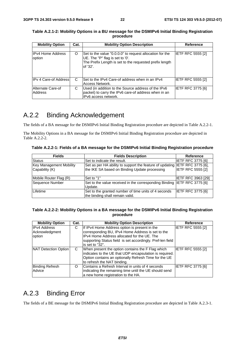| <b>Mobility Option</b><br><b>Mobility Option Description</b><br>Cat. |   | <b>Reference</b>                                                                                                                                                   |                          |
|----------------------------------------------------------------------|---|--------------------------------------------------------------------------------------------------------------------------------------------------------------------|--------------------------|
|                                                                      |   |                                                                                                                                                                    |                          |
| <b>IPv4 Home Address</b><br>option                                   | O | Set to the value "0.0.0.0" to request allocation for the<br>UE. The "P" flag is set to '0'.<br>The Prefix Length is set to the requested prefix length<br>of '32'. | <b>IETF RFC 5555 [2]</b> |
| <b>IPv 4 Care-of Address</b>                                         | C | Set to the IPv4 Care-of address when in an IPv4<br>Access Network.                                                                                                 | <b>IETF RFC 5555 [2]</b> |
| Alternate Care-of<br>Address                                         | С | Used (in addition to the Source address of the IPv6<br>packet) to carry the IPv6 care-of address when in an<br>IPv6 access network.                                | <b>IETF RFC 3775 [6]</b> |

#### **Table A.2.1-2: Mobility Options in a BU message for the DSMIPv6 Initial Binding Registration procedure**

### A.2.2 Binding Acknowledgement

The fields of a BA message for the DSMIPv6 Initial Binding Registration procedure are depicted in Table A.2.2-1.

The Mobility Options in a BA message for the DSMIPv6 Initial Binding Registration procedure are depicted in Table A.2.2-2.

**Table A.2.2-1: Fields of a BA message for the DSMIPv6 Initial Binding Registration procedure** 

| <b>Fields</b>                                    | <b>Fields Description</b>                                                                                                    | Reference                 |
|--------------------------------------------------|------------------------------------------------------------------------------------------------------------------------------|---------------------------|
| <b>Status</b>                                    | Set to indicate the result.                                                                                                  | <b>IETF RFC 3775 [6]</b>  |
| <b>Key Management Mobility</b><br>Capability (K) | Set as per HA ability to support the feature of updating IETF RFC 3775 [6],<br>the IKE SA based on Binding Update processing | <b>IETF RFC 5555 [2]</b>  |
| Mobile Router Flag (R)                           | Set to "1"                                                                                                                   | <b>IETF RFC 3963 [29]</b> |
| Sequence Number                                  | Set to the value received in the corresponding Binding IETF RFC 3775 [6]<br>Update.                                          |                           |
| Lifetime                                         | Set to the granted number of time units of 4 seconds<br>the binding shall remain valid.                                      | <b>IETF RFC 3775 [6]</b>  |

#### **Table A.2.2-2: Mobility Options in a BA message for the DSMIPv6 Initial Binding Registration procedure**

| <b>Mobility Option</b>                          | Cat. | <b>Mobility Option Description</b>                                                                                                                                                                                                 | <b>Reference</b>         |
|-------------------------------------------------|------|------------------------------------------------------------------------------------------------------------------------------------------------------------------------------------------------------------------------------------|--------------------------|
| <b>IPv4 Address</b><br>Acknowledgment<br>option | С    | If IPv4 Home Address option is present in the<br>corresponding BU, IPv4 Home Address is set to the<br>IPv4 Home Address allocated for the UE. The<br>supporting Status field is set accordingly. Pref-len field<br>is set to "32". | IETF RFC 5555 [2]        |
| NAT Detection Option                            | C    | When present the option contains the F Flag which<br>indicates to the UE that UDP encapsulation is required.<br>Option contains an optionally Refresh Time for the UE<br>to refresh the NAT binding.                               | <b>IETF RFC 5555 [2]</b> |
| <b>Binding Refresh</b><br>Advice                | O    | Contains a Refresh Interval in units of 4 seconds<br>indicating the remaining time until the UE should send<br>a new home registration to the HA.                                                                                  | IETF RFC 3775 [6]        |

### A.2.3 Binding Error

The fields of a BE message for the DSMIPv6 Initial Binding Registration procedure are depicted in Table A.2.3-1.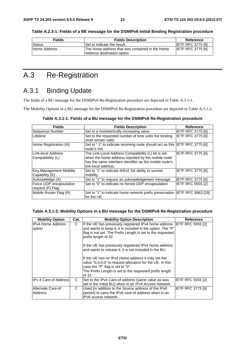**Table A.2.3-1: Fields of a BE message for the DSMIPv6 Initial Binding Registration procedure** 

| <b>Fields</b> | <b>Fields Description</b>                                                     | Reference                |
|---------------|-------------------------------------------------------------------------------|--------------------------|
| Status        | Set to indicate the result.                                                   | <b>IETF RFC 3775 [6]</b> |
| Home Address  | The home address that was contained in the Home<br>Address destination option | <b>IETF RFC 3775 [6]</b> |

### A.3 Re-Registration

### A.3.1 Binding Update

The fields of a BU message for the DSMIPv6 Re-Registration procedure are depicted in Table A.3.1-1.

The Mobility Options in a BU message for the DSMIPv6 Re-Registration procedure are depicted in Table A.3.1-2.

| <b>Fields</b>                                    | <b>Fields Description</b>                                                                                                                                                                 | Reference                |
|--------------------------------------------------|-------------------------------------------------------------------------------------------------------------------------------------------------------------------------------------------|--------------------------|
| Sequence Number                                  | Set to a monotonically increasing value.                                                                                                                                                  | <b>IETF RFC 3775 [6]</b> |
| Lifetime                                         | Set to the requested number of time units the binding<br>shall remain valid.                                                                                                              | <b>IETF RFC 3775 [6]</b> |
| Home Registration (H)                            | Set to "1" to indicate receiving node should act as this IETF RFC 3775 [6]<br>node"s HA                                                                                                   |                          |
| LLink-local Address<br> Compatibility (L)        | The Link-Local Address Compatibility (L) bit is set<br>when the home address reported by the mobile node<br>has the same interface identifier as the mobile node's<br>link-local address. | IETF RFC 3775 [6]        |
| <b>Key Management Mobility</b><br>Capability (K) | Set to "1" to indicate IKEv2 SA ability to survive<br>mobility                                                                                                                            | <b>IETF RFC 3775 [6]</b> |
| Acknowledge (A)                                  | Set to "1" to request an acknowledgement message.                                                                                                                                         | <b>IETF RFC 3775 [6]</b> |
| Force UDP encapsulation<br>request (F) Flag      | Set to "0" to indicate no forced UDP encapsulation                                                                                                                                        | <b>IETF RFC 5555 [2]</b> |
| Mobile Router Flag (R)                           | Set to "1" to indicate home network prefix preservation  IETF RFC 3963 [29]<br>for the UE.                                                                                                |                          |

#### **Table A.3.1-2: Mobility Options in a BU message for the DSMIPv6 Re-Registration procedure**

| <b>Mobility Option</b>        | Cat. | <b>Mobility Option Description</b>                                                                                                                                                                                                                                                                                                                                                                                                                                                                                                                               | Reference         |
|-------------------------------|------|------------------------------------------------------------------------------------------------------------------------------------------------------------------------------------------------------------------------------------------------------------------------------------------------------------------------------------------------------------------------------------------------------------------------------------------------------------------------------------------------------------------------------------------------------------------|-------------------|
| IIPv4 Home Address<br>option  | C    | If the UE has previously registered IPv4 home address IETF RFC 5555 [2]<br>and wants to keep it, it is included in the option. The "P"<br>flag is not set. The Prefix Length is set to the requested<br>prefix length of 32.<br>If the UE has previously registered IPv4 home address<br>and wants to release it, it is not included in the BU.<br>If the UE has no IPv4 Home address it may set the<br>value "0.0.0.0" to request allocation for the UE. In this<br>case the "P" flag is set to "0".<br>The Prefix Length is set to the requested prefix length |                   |
|                               |      | of 32.                                                                                                                                                                                                                                                                                                                                                                                                                                                                                                                                                           |                   |
| <b>IPv 4 Care-of Addressl</b> | C    | Set to the IPv4 Care-of address (same value as was<br>set in the Initial BU) when in an IPv4 Access Network                                                                                                                                                                                                                                                                                                                                                                                                                                                      | IETF RFC 5555 [2] |
| Alternate Care-of<br>Address  | C    | Used (in addition to the Source address of the IPv6<br>packet) to carry the IPv6 care-of address when in an<br>IPv6 access network.                                                                                                                                                                                                                                                                                                                                                                                                                              | IETF RFC 3775 [6] |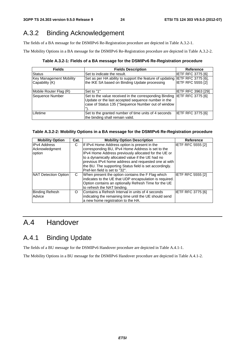### A.3.2 Binding Acknowledgement

The fields of a BA message for the DSMIPv6 Re-Registration procedure are depicted in Table A.3.2-1.

The Mobility Options in a BA message for the DSMIPv6 Re-Registration procedure are depicted in Table A.3.2-2.

**Table A.3.2-1: Fields of a BA message for the DSMIPv6 Re-Registration procedure** 

| <b>Fields</b>                                    | <b>Fields Description</b>                                                                                                                                                            | <b>Reference</b>          |
|--------------------------------------------------|--------------------------------------------------------------------------------------------------------------------------------------------------------------------------------------|---------------------------|
| <b>Status</b>                                    | Set to indicate the result.                                                                                                                                                          | <b>IETF RFC 3775 [6]</b>  |
| <b>Key Management Mobility</b><br>Capability (K) | Set as per HA ability to support the feature of updating IETF RFC 3775 [6],<br>the IKE SA based on Binding Update processing                                                         | <b>IETF RFC 5555 [2]</b>  |
| Mobile Router Flag (R)                           | Set to "1"                                                                                                                                                                           | <b>IETF RFC 3963 [29]</b> |
| Sequence Number                                  | Set to the value received in the corresponding Binding IETF RFC 3775 [6]<br>Update or the last accepted sequence number in the<br>case of Status 135 ("Sequence Number out of window |                           |
| Lifetime                                         | Set to the granted number of time units of 4 seconds<br>the binding shall remain valid.                                                                                              | <b>IETF RFC 3775 [6]</b>  |

#### **Table A.3.2-2: Mobility Options in a BA message for the DSMIPv6 Re-Registration procedure**

| <b>Mobility Option</b> | Cat. | <b>Mobility Option Description</b>                      | <b>Reference</b>         |
|------------------------|------|---------------------------------------------------------|--------------------------|
| <b>IPv4 Address</b>    | С    | If IPv4 Home Address option is present in the           | IETF RFC 5555 [2]        |
| Acknowledgment         |      | corresponding BU, IPv4 Home Address is set to the       |                          |
| option                 |      | IPv4 Home Address previously allocated for the UE or    |                          |
|                        |      | to a dynamically allocated value if the UE had no       |                          |
|                        |      | previous IPv4 home address and requested one at with    |                          |
|                        |      | the BU. The supporting Status field is set accordingly. |                          |
|                        |      | Pref-len field is set to "32".                          |                          |
| NAT Detection Option   | C    | When present the option contains the F Flag which       | <b>IETF RFC 5555 [2]</b> |
|                        |      | indicates to the UE that UDP encapsulation is required. |                          |
|                        |      | Option contains an optionally Refresh Time for the UE   |                          |
|                        |      | to refresh the NAT binding.                             |                          |
| <b>Binding Refresh</b> | O    | Contains a Refresh Interval in units of 4 seconds       | <b>IETF RFC 3775 [6]</b> |
| Advice                 |      | indicating the remaining time until the UE should send  |                          |
|                        |      | a new home registration to the HA.                      |                          |

### A.4 Handover

### A.4.1 Binding Update

The fields of a BU message for the DSMIPv6 Handover procedure are depicted in Table A.4.1-1.

The Mobility Options in a BU message for the DSMIPv6 Handover procedure are depicted in Table A.4.1-2.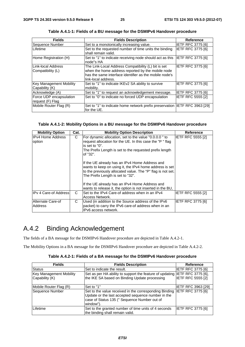| <b>Fields</b>                                    | <b>Fields Description</b>                                                                                                                                                                 | <b>Reference</b>         |
|--------------------------------------------------|-------------------------------------------------------------------------------------------------------------------------------------------------------------------------------------------|--------------------------|
| Sequence Number                                  | Set to a monotonically increasing value.                                                                                                                                                  | <b>IETF RFC 3775 [6]</b> |
| Lifetime                                         | Set to the requested number of time units the binding<br>shall remain valid.                                                                                                              | <b>IETF RFC 3775 [6]</b> |
| Home Registration (H)                            | Set to "1" to indicate receiving node should act as this<br>node"s HA                                                                                                                     | <b>IETF RFC 3775 [6]</b> |
| Link-local Address<br> Compatibility (L)         | The Link-Local Address Compatibility (L) bit is set<br>when the home address reported by the mobile node<br>has the same interface identifier as the mobile node's<br>link-local address. | <b>IETF RFC 3775 [6]</b> |
| <b>Key Management Mobility</b><br>Capability (K) | Set to "1" to indicate IKEv2 SA ability to survive<br>mobility.                                                                                                                           | IETF RFC 3775 [6]        |
| Acknowledge (A)                                  | Set to "1" to request an acknowledgement message.                                                                                                                                         | <b>IETF RFC 3775 [6]</b> |
| Force UDP encapsulation<br>request (F) Flag      | Set to "0" to indicate no forced UDP encapsulation                                                                                                                                        | <b>IETF RFC 5555 [2]</b> |
| Mobile Router Flag (R)                           | Set to "1" to indicate home network prefix preservation  IETF RFC 3963 [29]<br>for the UE.                                                                                                |                          |

**Table A.4.1-1: Fields of a BU message for the DSMIPv6 Handover procedure** 

#### **Table A.4.1-2: Mobility Options in a BU message for the DSMIPv6 Handover procedure**

| <b>Mobility Option</b>              | Cat. | <b>Mobility Option Description</b>                                                                                                                                                                                                                              | <b>Reference</b>         |
|-------------------------------------|------|-----------------------------------------------------------------------------------------------------------------------------------------------------------------------------------------------------------------------------------------------------------------|--------------------------|
| <b>IPv4 Home Address</b><br>option  | C    | For dynamic allocation, set to the value "0.0.0.0" to<br>request allocation for the UE. In this case the "P" flag<br>is set to "0".<br>The Prefix Length is set to the requested prefix length<br>of "32".                                                      | IETF RFC 5555 [2]        |
|                                     |      | If the UE already has an IPv4 Home Address and<br>wants to keep on using it, the IPv4 home address is set<br>to the previously allocated value. The "P" flag is not set.<br>The Prefix Length is set to "32".<br>If the UE already has an IPv4 Home Address and |                          |
|                                     |      | wants to release it, the option is not inserted in the BU,                                                                                                                                                                                                      |                          |
| IPv 4 Care-of Address               | C    | Set to the IPv4 Care-of address when in an IPv4<br>Access Network.                                                                                                                                                                                              | <b>IETF RFC 5555 [2]</b> |
| Alternate Care-of<br><b>Address</b> | C    | Used (in addition to the Source address of the IPv6<br>packet) to carry the IPv6 care-of address when in an<br>IPv6 access network.                                                                                                                             | IETF RFC 3775 [6]        |

### A.4.2 Binding Acknowledgement

The fields of a BA message for the DSMIPv6 Handover procedure are depicted in Table A.4.2-1.

The Mobility Options in a BA message for the DSMIPv6 Handover procedure are depicted in Table A.4.2-2.

|  | Table A.4.2-1: Fields of a BA message for the DSMIPv6 Handover procedure |
|--|--------------------------------------------------------------------------|
|--|--------------------------------------------------------------------------|

| <b>Fields</b>                  | <b>Fields Description</b>                                                                                                                                                 | <b>Reference</b>          |
|--------------------------------|---------------------------------------------------------------------------------------------------------------------------------------------------------------------------|---------------------------|
| Status                         | Set to indicate the result.                                                                                                                                               | <b>IETF RFC 3775 [6]</b>  |
| <b>Key Management Mobility</b> | Set as per HA ability to support the feature of updating IETF RFC 3775 [6],                                                                                               |                           |
| Capability (K)                 | the IKE SA based on Binding Update processing                                                                                                                             | IETF RFC 5555 [2]         |
| Mobile Router Flag (R)         | Set to "1"                                                                                                                                                                | <b>IETF RFC 3963 [29]</b> |
| Sequence Number                | Set to the value received in the corresponding Binding<br>Update or the last accepted sequence number in the<br>case of Status 135 (" Sequence Number out of<br>window"). | <b>IETF RFC 3775 [6]</b>  |
| Lifetime                       | Set to the granted number of time units of 4 seconds<br>the binding shall remain valid.                                                                                   | IETF RFC 3775 [6]         |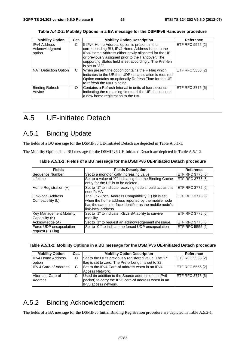| <b>Mobility Option</b>                          | Cat. | <b>Mobility Option Description</b>                                                                                                                                                                                                                                                            | <b>Reference</b>         |
|-------------------------------------------------|------|-----------------------------------------------------------------------------------------------------------------------------------------------------------------------------------------------------------------------------------------------------------------------------------------------|--------------------------|
| <b>IPv4 Address</b><br>Acknowledgment<br>option | C    | If IPv4 Home Address option is present in the<br>corresponding BU, IPv4 Home Address is set to the<br>IPv4 Home Address either newly allocated for the UE<br>or previously assigned prior to the Handover. The<br>supporting Status field is set accordingly. The Pref-len<br>is set to "32". | <b>IETF RFC 5555 [2]</b> |
| NAT Detection Option                            | C    | When present the option contains the F Flag which<br>indicates to the UE that UDP encapsulation is required.<br>Option contains an optionally Refresh Time for the UE<br>to refresh the NAT binding.                                                                                          | <b>IETF RFC 5555 [2]</b> |
| <b>Binding Refresh</b><br>Advice                | O    | Contains a Refresh Interval in units of four seconds<br>indicating the remaining time until the UE should send<br>a new home registration to the HA.                                                                                                                                          | <b>IETF RFC 3775 [6]</b> |

**Table A.4.2-2: Mobility Options in a BA message for the DSMIPv6 Handover procedure** 

### A.5 UE-initiated Detach

### A.5.1 Binding Update

The fields of a BU message for the DSMIPv6 UE-Initiated Detach are depicted in Table A.5.1-1.

The Mobility Options in a BU message for the DSMIPv6 UE-Initiated Detach are depicted in Table A.5.1-2.

| <b>Fields</b>                                    | <b>Fields Description</b>                                                                                                                                                                 | Reference                |
|--------------------------------------------------|-------------------------------------------------------------------------------------------------------------------------------------------------------------------------------------------|--------------------------|
| Sequence Number                                  | Set to a monotonically increasing value.                                                                                                                                                  | IETF RFC 3775 [6]        |
| Lifetime                                         | Set to a value of "0" indicating that the Binding Cache<br>entry for the UE is to be deleted.                                                                                             | IETF RFC 3775 [6]        |
| Home Registration (H)                            | Set to "1" to indicate receiving node should act as this<br>node"s HA                                                                                                                     | <b>IETF RFC 3775 [6]</b> |
| LLink-local Address<br>Compatibility (L)         | The Link-Local Address Compatibility (L) bit is set<br>when the home address reported by the mobile node<br>has the same interface identifier as the mobile node's<br>link-local address. | <b>IETF RFC 3775 [6]</b> |
| <b>Key Management Mobility</b><br>Capability (K) | Set to "1" to indicate IKEv2 SA ability to survive<br>mobility                                                                                                                            | <b>IETF RFC 3775 [6]</b> |
| Acknowledge (A)                                  | Set to "1" to request an acknowledgement message.                                                                                                                                         | <b>IETF RFC 3775 [6]</b> |
| Force UDP encapsulation<br>request (F) Flag      | Set to "0" to indicate no forced UDP encapsulation                                                                                                                                        | <b>IETF RFC 5555 [2]</b> |

**Table A.5.1-1: Fields of a BU message for the DSMIPv6 UE-Initiated Detach procedure** 

| Table A.5.1-2: Mobility Options in a BU message for the DSMIPv6 UE-Initiated Detach procedure |  |  |  |  |  |
|-----------------------------------------------------------------------------------------------|--|--|--|--|--|
|-----------------------------------------------------------------------------------------------|--|--|--|--|--|

| <b>Mobility Option</b>       | Cat. | <b>Mobility Option Description</b>                   | Reference                |
|------------------------------|------|------------------------------------------------------|--------------------------|
| <b>IPv4 Home Address</b>     | O    | Set to the UE"s previously registered value. The "P" | <b>IETF RFC 5555 [2]</b> |
| option                       |      | flag is set to zero. The Prefix Length is set to 32. |                          |
| <b>IPv 4 Care-of Address</b> | C    | Set to the IPv4 Care-of address when in an IPv4      | <b>IETF RFC 5555 [2]</b> |
|                              |      | Access Network.                                      |                          |
| Alternate Care-of            |      | Used (in addition to the Source address of the IPv6  | <b>IETF RFC 3775 [6]</b> |
| Address                      |      | packet) to carry the IPv6 care-of address when in an |                          |
|                              |      | IPv6 access network.                                 |                          |

### A.5.2 Binding Acknowledgement

The fields of a BA message for the DSMIPv6 Initial Binding Registration procedure are depicted in Table A.5.2-1.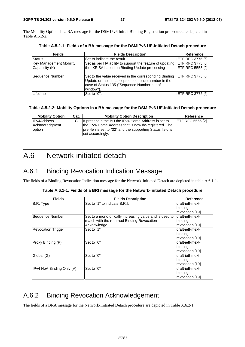The Mobility Options in a BA message for the DSMIPv6 Initial Binding Registration procedure are depicted in Table A.5.2-2.

| <b>Fields</b>                                    | <b>Fields Description</b>                                                                                                                                                                   | <b>Reference</b>         |
|--------------------------------------------------|---------------------------------------------------------------------------------------------------------------------------------------------------------------------------------------------|--------------------------|
| Status                                           | Set to indicate the result.                                                                                                                                                                 | <b>IETF RFC 3775 [6]</b> |
| <b>Key Management Mobility</b><br>Capability (K) | Set as per HA ability to support the feature of updating IETF RFC 3775 [6],<br>the IKE SA based on Binding Update processing                                                                | <b>IETF RFC 5555 [2]</b> |
| Sequence Number                                  | Set to the value received in the corresponding Binding  IETF RFC 3775 [6]<br>Update or the last accepted sequence number in the<br>case of Status 135 ("Sequence Number out of<br>window"). |                          |
| Lifetime                                         | Set to "0".                                                                                                                                                                                 | IETF RFC 3775 [6]        |

**Table A.5.2-1: Fields of a BA message for the DSMIPv6 UE-Initiated Detach procedure** 

#### **Table A.5.2-2: Mobility Options in a BA message for the DSMIPv6 UE-Initiated Detach procedure**

| <b>Mobility Option</b>   | Cat. | <b>Mobility Option Description</b>                                                                                 | Reference                |
|--------------------------|------|--------------------------------------------------------------------------------------------------------------------|--------------------------|
| <b>IPv4Address</b>       |      | If present in the BU the IPv4 Home Address is set to                                                               | <b>IETF RFC 5555 [2]</b> |
| Acknowledgment<br>option |      | the IPv4 Home Address that is now de-registered. The<br>pref-len is set to "32" and the supporting Status field is |                          |
|                          |      | set accordingly.                                                                                                   |                          |

### A.6 Network-initiated detach

### A.6.1 Binding Revocation Indication Message

The fields of a Binding Revocation Indication message for the Network-Initiated Detach are depicted in table A.6.1-1.

|  |  | Table A.6.1-1: Fields of a BRI message for the Network-Initiated Detach procedure |
|--|--|-----------------------------------------------------------------------------------|
|  |  |                                                                                   |

| <b>Fields</b>             | <b>Fields Description</b>                              | <b>Reference</b> |
|---------------------------|--------------------------------------------------------|------------------|
| B.R. Type                 | Set to "1" to indicate B.R.I.                          | draft-ietf-mext- |
|                           |                                                        | binding-         |
|                           |                                                        | revocation [19]  |
| Sequence Number           | Set to a monotonically increasing value and is used to | draft-ietf-mext- |
|                           | match with the returned Binding Revocation             | binding-         |
|                           | Acknowledge                                            | revocation [19]  |
| <b>Revocation Trigger</b> | Set to "1"                                             | draft-ietf-mext- |
|                           |                                                        | binding-         |
|                           |                                                        | revocation [19]  |
| Proxy Binding (P)         | Set to "0"                                             | draft-ietf-mext- |
|                           |                                                        | binding-         |
|                           |                                                        | revocation [19]  |
| Global (G)                | Set to "0"                                             | draft-ietf-mext- |
|                           |                                                        | binding-         |
|                           |                                                        | revocation [19]  |
| IPv4 HoA Binding Only (V) | Set to "0"                                             | draft-ietf-mext- |
|                           |                                                        | binding-         |
|                           |                                                        | revocation [19]  |

### A.6.2 Binding Revocation Acknowledgement

The fields of a BRA message for the Network-Initiated Detach procedure are depicted in Table A.6.2-1.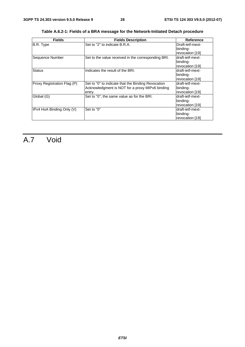| <b>Fields</b>               | <b>Fields Description</b>                                                                                       | <b>Reference</b>                                 |
|-----------------------------|-----------------------------------------------------------------------------------------------------------------|--------------------------------------------------|
| B.R. Type                   | Set to "2" to indicate B.R.A.                                                                                   | Draft-ietf-mext-<br>binding-                     |
|                             |                                                                                                                 | revocation [19]                                  |
| Sequence Number             | Set to the value received in the corresponding BRI.                                                             | draft-ietf-mext-<br>binding-<br>revocation [19]  |
| <b>Status</b>               | Indicates the result of the BRI.                                                                                | ldraft-ietf-mext-<br>binding-<br>revocation [19] |
| Proxy Registration Flag (P) | Set to "0" to indicate that the Binding Revocation<br>Acknowledgment is NOT for a proxy MIPv6 binding<br>entry. | draft-ietf-mext-<br>binding-<br>revocation [19]  |
| Global (G)                  | Set to "0"; the same value as for the BRI.                                                                      | draft-ietf-mext-<br>binding-<br>revocation [19]  |
| IPv4 HoA Binding Only (V)   | Set to "0"                                                                                                      | draft-ietf-mext-<br>binding-<br>revocation [19]  |

**Table A.6.2-1: Fields of a BRA message for the Network-Initiated Detach procedure** 

## A.7 Void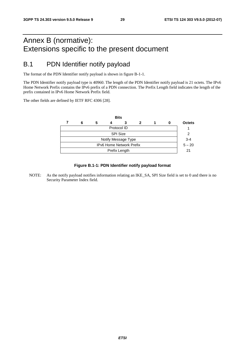### Annex B (normative): Extensions specific to the present document

### B.1 PDN Identifier notify payload

The format of the PDN Identifier notify payload is shown in figure B-1-1.

The PDN Identifier notify payload type is 40960. The length of the PDN Identifier notify payload is 21 octets. The IPv6 Home Network Prefix contains the IPv6 prefix of a PDN connection. The Prefix Length field indicates the length of the prefix contained in IPv6 Home Network Prefix field.

The other fields are defined by IETF RFC 4306 [28].



#### **Figure B.1-1: PDN Identifier notify payload format**

NOTE: As the notify payload notifies information relating an IKE\_SA, SPI Size field is set to 0 and there is no Security Parameter Index field.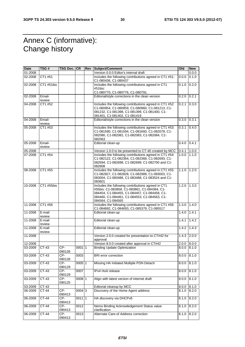### Annex C (informative): Change history

| <b>Date</b> | TSG #            | TSG Doc. CR   |                     | Rev | Subject/Comment                                                                                                                                                                                                         | Old   | <b>New</b> |
|-------------|------------------|---------------|---------------------|-----|-------------------------------------------------------------------------------------------------------------------------------------------------------------------------------------------------------------------------|-------|------------|
| 01-2008     |                  |               |                     |     | Version 0.0.0 Editor's internal draft                                                                                                                                                                                   |       | 0.0.0      |
| 02-2008     | CT1 #51          |               |                     |     | Includes the following contributions agreed in CT1 #51:<br>C1-080436, C1-080437                                                                                                                                         | 0.0.0 | 0.1.0      |
| 02-2008     | CT1 #51bis       |               |                     |     | Includes the following contributions agreed in CT1<br>#51bis:                                                                                                                                                           | 0.1.0 | 0.2.0      |
|             |                  |               |                     |     | C1-080770, C1-080776, C1-080791.                                                                                                                                                                                        |       |            |
| 02-2008     | Email-<br>review |               |                     |     | Editorial/style corrections in the clean version                                                                                                                                                                        | 0.2.0 | 0.2.1      |
| 04-2008     | CT1 #52          |               |                     |     | Includes the following contributions agreed in CT1 #52:<br>C1-080954, C1-080959, C1-080960, C1-081213, C1-<br>081232, C1-081398, C1-081399, C1-081400, C1-<br>081401, C1-081402, C1-081419                              | 0.2.1 | 0.3.0      |
| 04-2008     | Email-<br>review |               |                     |     | Editorial/style corrections in the clean version                                                                                                                                                                        | 0.3.0 | 0.3.1      |
| 05-2008     | CT1 #53          |               |                     |     | Includes the following contributions agreed in CT1 #53:<br>C1-081590, C1-081594, C1-081693, C1-082079, C1-<br>082080, C1-082082, C1-082083, C1-082084, C1-<br>082063                                                    | 0.3.1 | 0.4.0      |
| 05-2008     | Email-<br>review |               |                     |     | Editorial clean-up                                                                                                                                                                                                      | 0.4.0 | 0.4.1      |
| 05-2008     |                  |               |                     |     | Version 1.0.0 to be presented to CT-40 created by MCC                                                                                                                                                                   | 0.4.1 | 1.0.0      |
| 07-2008     | CT1 #54          |               |                     |     | Includes the following contributions agreed in CT1 #54:<br>C1-082122, C1-082364, C1-082368, C1-082693, C1-<br>082694, C1-082698, C1-082699, C1-082700 and C1-<br>082808                                                 | 1.0.0 | 1.1.0      |
| 08-2008     | CT1 #55          |               |                     |     | Includes the following contributions agreed in CT1 #55:<br>C1-082827, C1-082828, C1-082989, C1-083003, C1-<br>083004, C1-083486, C1-083488, C1-083524 and C1-<br>083601                                                 | 1.1.0 | 1.2.0      |
| 10-2008     | CT1 #55bis       |               |                     |     | Includes the following contributions agreed in CT1<br>#55bis: C1-083858, C1-083861, C1-084384, C1-<br>084454, C1-084455, C1-084457, C1-084458, C1-<br>084460, C1-084461, C1-084553, C1-084563, C1-<br>084564, C1-084565 | 1.2.0 | 1.3.0      |
| 11-2008     | CT1 #56          |               |                     |     | Includes the following contributions agreed in CT1 #56:<br>C1-084692, C1-084693, C1-085379, C1-085517                                                                                                                   | 1.3.0 | 1.4.0      |
| 11-2008     | E-mail<br>review |               |                     |     | Editorial clean-up                                                                                                                                                                                                      | 1.4.0 | 1.4.1      |
| 11-2008     | E-mail<br>review |               |                     |     | Editorial clean-up                                                                                                                                                                                                      | 1.4.1 | 1.4.2      |
| 11-2008     | E-mail<br>review |               |                     |     | Editorial clean-up                                                                                                                                                                                                      | 1.4.2 | 1.4.3      |
| 11-2008     |                  |               |                     |     | Version 2.0.0 created for presentation to CT#42 for<br>approval                                                                                                                                                         | 1.4.3 | 2.0.0      |
| 12-2008     |                  |               |                     |     | Version 8.0.0 created after approval in CT#42                                                                                                                                                                           | 2.0.0 | 8.0.0      |
| 03-2009     | CT-43            | CP-<br>090126 | 00011               |     | <b>Binding Update Optimization</b>                                                                                                                                                                                      | 0.0.8 | 8.1.0      |
| 03-2009     | $CT-43$          | CP-<br>090126 | 0003                |     | <b>BRI</b> error correction                                                                                                                                                                                             | 8.0.0 | 8.1.0      |
| 03-2009     | $CT-43$          | CP-<br>090129 | $0005$ 1            |     | Missing HA Initiated Multiple PDN Detach                                                                                                                                                                                | 8.0.0 | 8.1.0      |
| 03-2009     | $CT-43$          | CP-<br>090129 | 0007                |     | IPv4 HoA release                                                                                                                                                                                                        | 8.0.0 | 8.1.0      |
| 03-2009     | CT-43            | CP-<br>090125 | 0008 1              |     | Align with latest version of internet draft                                                                                                                                                                             | 8.0.0 | 8.1.0      |
| 03-2009     | CT-43            |               |                     |     | Editorial cleanup by MCC                                                                                                                                                                                                | 8.0.0 | 8.1.0      |
| 06-2009     | $CT-44$          | CP-<br>090413 | $0004 \overline{3}$ |     | Discovery of the Home Agent address                                                                                                                                                                                     | 8.1.0 | 8.2.0      |
| 06-2009     | $CT-44$          | CP-<br>090413 | $0011$ 1            |     | HA discovery via DHCPv6                                                                                                                                                                                                 | 8.1.0 | 8.2.0      |
| 06-2009     | $CT-44$          | CP-<br>090413 | 0012                |     | Nemo Binding Acknowledgement Status value<br>clarification                                                                                                                                                              | 8.1.0 | 8.2.0      |
| 06-2009     | $CT-44$          | CP-<br>090413 | 0013                |     | Alternate Care-of Address correction                                                                                                                                                                                    | 8.1.0 | 8.2.0      |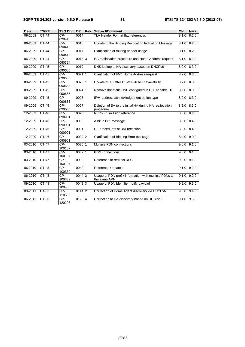| <b>Date</b> | TSG#         | <b>TSG Doc. CR</b> |                     | Rev | Subject/Comment                                                       | Old   | <b>New</b> |
|-------------|--------------|--------------------|---------------------|-----|-----------------------------------------------------------------------|-------|------------|
| 06-2009     | <b>CT-44</b> | CP-<br>090413      | 0014                |     | TLV Header Format flag references                                     | 8.1.0 | 8.2.0      |
| 06-2009     | <b>CT-44</b> | CP-<br>090413      | 0016                |     | Update to the Binding Revocation Indication Message                   | 8.1.0 | 8.2.0      |
| 06-2009     | $CT-44$      | CP-<br>090413      | 0017                |     | Clarification of routing header usage                                 | 8.1.0 | 8.2.0      |
| 06-2009     | $CT-44$      | $CP-$<br>090324    | $0018$ <sub>3</sub> |     | HA reallocation procedure and Home Address request                    | 8.1.0 | 8.2.0      |
| 09-2009     | CT-45        | CP-<br>090655      | 0019                |     | DNS lookup at HA discovery based on DHCPv6                            | 8.2.0 | 8.3.0      |
| 09-2009     | $CT-45$      | $CP-$<br>090655    | $0021$ 1            |     | Clarification of IPv4 Home Address request                            | 8.2.0 | 8.3.0      |
| 09-2009     | $CT-45$      | $CP-$<br>090655    | $0023$ 1            |     | Update of TS after DS-MIPv6 RFC availability                          | 8.2.0 | 8.3.0      |
| 09-2009     | $CT-45$      | $CP-$<br>090655    | $0024$ 1            |     | Remove the static HNP configured in LTE capable UE                    | 8.2.0 | 8.3.0      |
| 09-2009     | $CT-45$      | $CP-$<br>090655    | 0025                |     | IPv4 address acknowledgement option type                              | 8.2.0 | 8.3.0      |
| 09-2009     | $CT-45$      | $CP-$<br>090655    | 0027                |     | Deletion of SA to the initial HA during HA reallocation<br>procedure  | 8.2.0 | 8.3.0      |
| 12-2009     | $CT-46$      | $CP-$<br>090901    | 0028                |     | RFC5555 missing reference                                             | 8.3.0 | 8.4.0      |
| 12-2009     | $CT-46$      | $CP-$<br>090901    | 0030                |     | A bit in BRI message                                                  | 8.3.0 | 8.4.0      |
| 12-2009     | $CT-46$      | CP-<br>090901      | 003111              |     | UE procedures at BRI reception                                        | 8.3.0 | 8.4.0      |
| 12-2009     | CT-46        | CP-<br>090901      | 0029 2              |     | Clarification of Binding Error message                                | 8.4.0 | 9.0.0      |
| 03-2010     | $CT-47$      | $CP-$<br>100107    | $0035$ 1            |     | Multiple PDN connections                                              | 9.0.0 | 9.1.0      |
| 03-2010     | $CT-47$      | $CP-$<br>100107    | 003711              |     | <b>PDN</b> connections                                                | 9.0.0 | 9.1.0      |
| 03-2010     | <b>CT-47</b> | CP-<br>100107      | 0039                |     | Reference to redirect RFC                                             | 9.0.0 | 9.1.0      |
| 06-2010     | $CT-48$      | $CP-$<br>100339    | 0042                |     | Reference Updates                                                     | 9.1.0 | 9.2.0      |
| 06-2010     | $CT-48$      | CP-<br>100339      | $0044$ 2            |     | Usage of PDN prefix information with multiple PDNs to<br>the same APN | 9.1.0 | 9.2.0      |
| 09-2010     | $CT-49$      | CP-<br>100485      | $0048$ <sub>3</sub> |     | Usage of PDN Identifier notify payload                                | 9.2.0 | 9.3.0      |
| 09-2011     | $CT-53$      | $CP-$<br>110660    | $0114$ 2            |     | Correction of Home Agent discovery via DHCPv6                         | 9.3.0 | 9.4.0      |
| 06-2012     | $CT-56$      | CP-<br>120293      | $0123$ 4            |     | Correction to HA discovery based on DHCPv6                            | 9.4.0 | 9.5.0      |